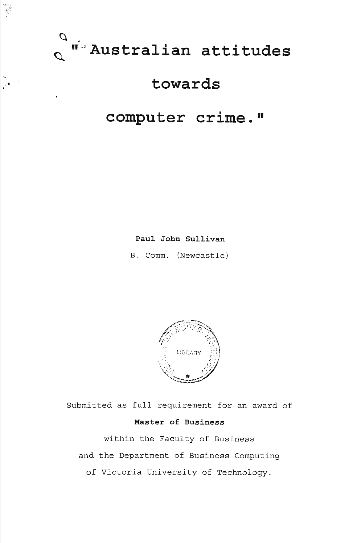

 $\mathbb{R}^{\bullet}$  .

# **towards**

# **computer crime."**

**Paul John Sullivan** 

B. Comm. (Newcastle)



Submitted as full requirement for an award of **Master of Business** 

within the Faculty of Business and the Department of Business Computing of Victoria University of Technology.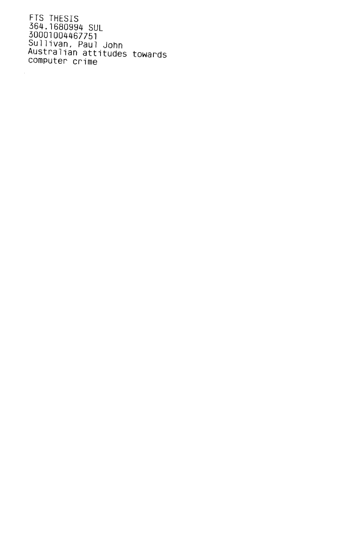FTS THESIS 364.1680994 SUL 30001004467751 Sullivan, Paul John Australian attitudes towards computer crime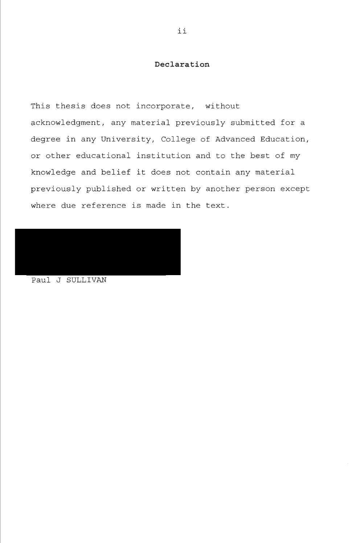# **Declaration**

This thesis does not incorporate, without acknowledgment, any material previously submitted for a degree in any University, College of Advanced Education, or other educational institution and to the best of my knowledge and belief it does not contain any material previously published or written by another person except where due reference is made in the text.

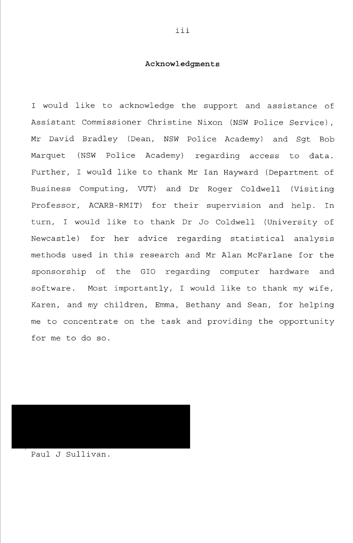## **Ac knowledgment s**

I would like to acknowledge the support and assistance of Assistant Commissioner Christine Nixon (NSW Police Service), Mr David Bradley (Dean, NSW Police Academy) and Sgt Bob Marquet (NSW Police Academy) regarding access to data. Further, I would like to thank Mr Ian Hayward (Department of Business Computing, VUT) and Dr Roger Coldwell (Visiting Professor, ACARB-RMIT) for their supervision and help. In turn, I would like to thank Dr Jo Coldwell (University of Newcastle) for her advice regarding statistical analysis methods used in this research and Mr Alan McFarlane for the sponsorship of the GIO regarding computer hardware and software. Most importantly, I would like to thank my wife, Karen, and my children, Emma, Bethany and Sean, for helping me to concentrate on the task and providing the opportunity for me to do so.

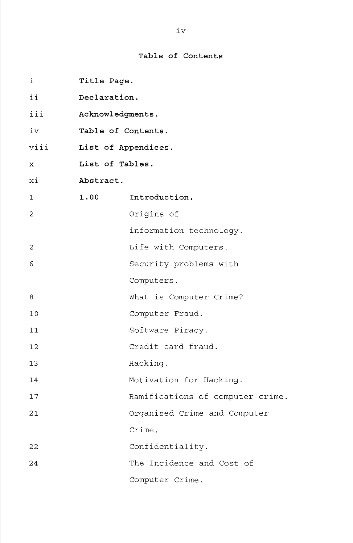# **Table of Contents**

| i              | Title Page.        |                                  |  |
|----------------|--------------------|----------------------------------|--|
| ii             | Declaration.       |                                  |  |
| iii            | Acknowledgments.   |                                  |  |
| iv             | Table of Contents. |                                  |  |
| viii           |                    | List of Appendices.              |  |
| x              | List of Tables.    |                                  |  |
| хi             | Abstract.          |                                  |  |
| $\mathbf 1$    | 1.00               | Introduction.                    |  |
| 2              |                    | Origins of                       |  |
|                |                    | information technology.          |  |
| $\overline{c}$ |                    | Life with Computers.             |  |
| 6              |                    | Security problems with           |  |
|                |                    | Computers.                       |  |
| 8              |                    | What is Computer Crime?          |  |
| 10             |                    | Computer Fraud.                  |  |
| 11             |                    | Software Piracy.                 |  |
| 12             |                    | Credit card fraud.               |  |
| 13             |                    | Hacking.                         |  |
| 14             |                    | Motivation for Hacking.          |  |
| 17             |                    | Ramifications of computer crime. |  |
| 21             |                    | Organised Crime and Computer     |  |
|                |                    | Crime.                           |  |
| 22             |                    | Confidentiality.                 |  |
| 24             |                    | The Incidence and Cost of        |  |
|                |                    | Computer Crime.                  |  |

IV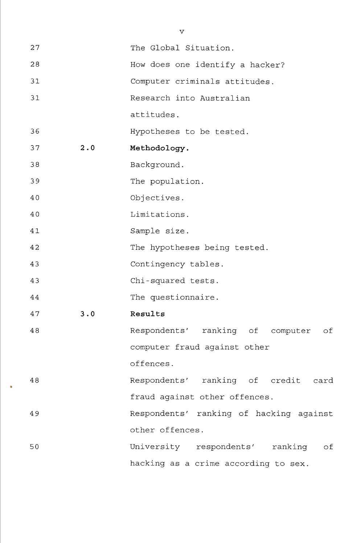| 27 |     | The Global Situation.                   |
|----|-----|-----------------------------------------|
| 28 |     | How does one identify a hacker?         |
| 31 |     | Computer criminals attitudes.           |
| 31 |     | Research into Australian                |
|    |     | attitudes.                              |
| 36 |     | Hypotheses to be tested.                |
| 37 | 2.0 | Methodology.                            |
| 38 |     | Background.                             |
| 39 |     | The population.                         |
| 40 |     | Objectives.                             |
| 40 |     | Limitations.                            |
| 41 |     | Sample size.                            |
| 42 |     | The hypotheses being tested.            |
| 43 |     | Contingency tables.                     |
| 43 |     | Chi-squared tests.                      |
| 44 |     | The questionnaire.                      |
| 47 | 3.0 | Results                                 |
| 48 |     |                                         |
|    |     | Respondents' ranking of computer of     |
|    |     | computer fraud against other            |
|    |     | offences.                               |
| 48 |     | Respondents' ranking of credit card     |
|    |     | fraud against other offences.           |
| 49 |     | Respondents' ranking of hacking against |
|    |     | other offences.                         |
| 50 |     | University respondents' ranking of      |

V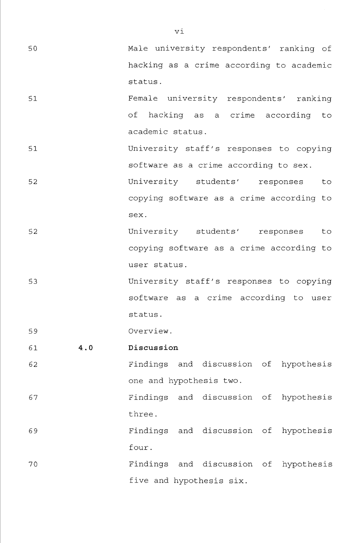50 Male university respondents' ranking of hacking as a crime according to academic status,

- 51 Female university respondents' ranking of hacking as a crime according to academic status.
- 51 University staff's responses to copying software as a crime according to sex. 52 University students' responses to copying software as a crime according to

52 University students' responses to copying software as a crime according to user status.

sex.

53 University staff's responses to copying software as a crime according to user status.

59 Overview.

61 **4.0 Discussion** 

- 62 Findings and discussion of hypothesis one and hypothesis two.
- 67 Findings and discussion of hypothesis three.
- 69 Findings and discussion of hypothesis four.
- 70 Findings and discussion of hypothesis five and hypothesis six.

VI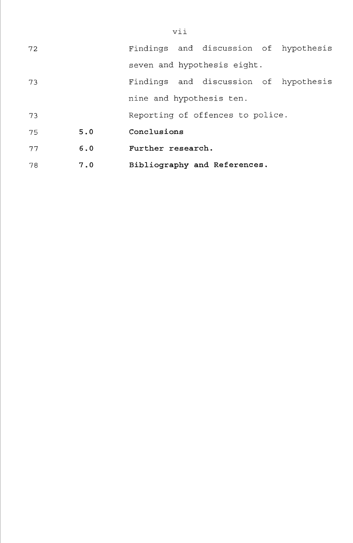| 72 |     |                   | Findings and discussion of hypothesis |  |
|----|-----|-------------------|---------------------------------------|--|
|    |     |                   | seven and hypothesis eight.           |  |
| 73 |     |                   | Findings and discussion of hypothesis |  |
|    |     |                   | nine and hypothesis ten.              |  |
| 73 |     |                   | Reporting of offences to police.      |  |
| 75 | 5.0 | Conclusions       |                                       |  |
| 77 | 6.0 | Further research. |                                       |  |
| 78 | 7.0 |                   | Bibliography and References.          |  |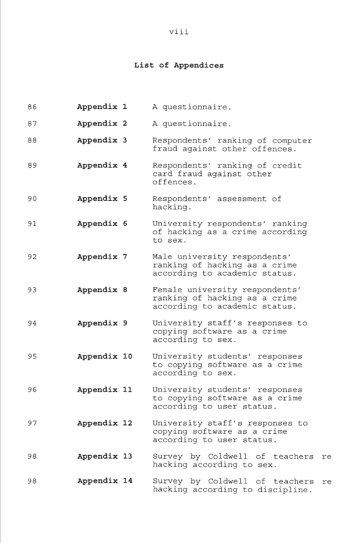# **List of Appendices**

| 86 | Appendix 1  | A questionnaire.                                                                                 |
|----|-------------|--------------------------------------------------------------------------------------------------|
| 87 | Appendix 2  | A questionnaire.                                                                                 |
| 88 | Appendix 3  | Respondents' ranking of computer<br>fraud against other offences.                                |
| 89 | Appendix 4  | Respondents' ranking of credit<br>card fraud against other<br>offences.                          |
| 90 | Appendix 5  | Respondents' assessment of<br>hacking.                                                           |
| 91 | Appendix 6  | University respondents' ranking<br>of hacking as a crime according<br>to sex.                    |
| 92 | Appendix 7  | Male university respondents'<br>ranking of hacking as a crime<br>according to academic status.   |
| 93 | Appendix 8  | Female university respondents'<br>ranking of hacking as a crime<br>according to academic status. |
| 94 | Appendix 9  | University staff's responses to<br>copying software as a crime<br>according to sex.              |
| 95 | Appendix 10 | University students' responses<br>to copying software as a crime<br>according to sex.            |
| 96 | Appendix 11 | University students' responses<br>to copying software as a crime<br>according to user status.    |
| 97 | Appendix 12 | University staff's responses to<br>copying software as a crime<br>according to user status.      |
| 98 | Appendix 13 | Survey by Coldwell of teachers<br>re<br>hacking according to sex.                                |
| 98 | Appendix 14 | Survey by Coldwell of teachers<br>re<br>hacking according to discipline.                         |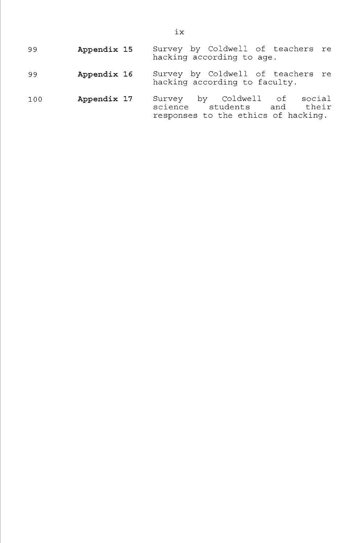| 99  | Appendix 15 | Survey by Coldwell of teachers re<br>hacking according to age.                                       |
|-----|-------------|------------------------------------------------------------------------------------------------------|
| 99  | Appendix 16 | Survey by Coldwell of teachers re<br>hacking according to faculty.                                   |
| 100 | Appendix 17 | Survey by Coldwell of social<br>science<br>students and their<br>responses to the ethics of hacking. |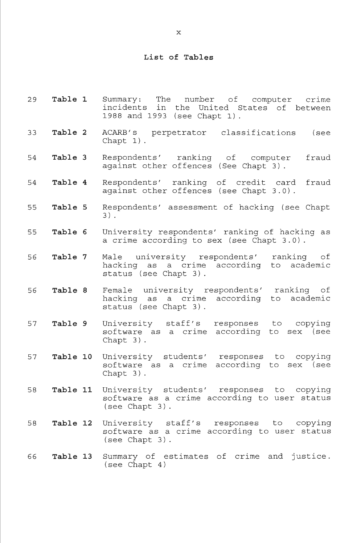#### **List of Tables**

- **29 Table 1** Summary: The number of computer crime incidents in the United States of between 1988 and 1993 (see Chapt 1).
- 33 **Table 2** ACARB's perpetrator classifications (see Chapt 1).
- 54 **Table 3** Respondents' ranking of computer fraud against other offences (See Chapt 3).
- 54 **Table 4** Respondents' ranking of credit card fraud against other offences (see Chapt 3.0).
- 55 **Table** 5 Respondents' assessment of hacking (see Chapt 3) .
- 55 **Table 6** University respondents' ranking of hacking as a crime according to sex (see Chapt 3.0).
- 56 **Table 7** Male university respondents' ranking of hacking as a crime according to academic status (see Chapt 3).
- 56 **Table 8** Female university respondents' ranking of hacking as a crime according to academic status (see Chapt 3).
- 57 **Table 9** University staff's responses to copying software as a crime according to sex (see Chapt 3).
- 57 **Table 10** University students' responses to copying software as a crime according to sex (see Chapt 3).
- 58 **Table 11** University students' responses to copying software as a crime according to user status (see Chapt 3).
- 58 **Table 12** University staff's responses to copying software as a crime according to user status (see Chapt 3).
- 66 **Table 13** Summary of estimates of crime and justice. (see Chapt 4)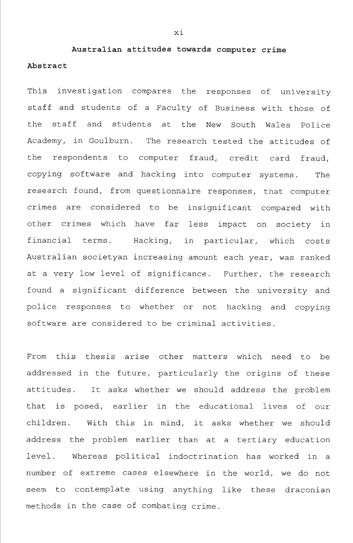**Australian attitudes towards computer crime Abstract** 

This investigation compares the responses of university staff and students of a Faculty of Business with those of the staff and students at the New South Wales Police Academy, in Goulburn. The research tested the attitudes of the respondents to computer fraud, credit card fraud, copying software and hacking into computer systems. The research found, from questionnaire responses, that computer crimes are considered to be insignificant compared with other crimes which have far less impact on society in financial terms. Hacking, in particular, which costs Australian societyan increasing amount each year, was ranked at a very low level of significance. Further, the research found a significant difference between the university and police responses to whether or not hacking and copying software are considered to be criminal activities.

From this thesis arise other matters which need to be addressed in the future, particularly the origins of these attitudes. It asks whether we should address the problem that is posed, earlier in the educational lives of our children. With this in mind, it asks whether we should address the problem earlier than at a tertiary education level. Whereas political indoctrination has worked in a number of extreme cases elsewhere in the world, we do not seem to contemplate using anything like these draconian methods in the case of combating crime.

XI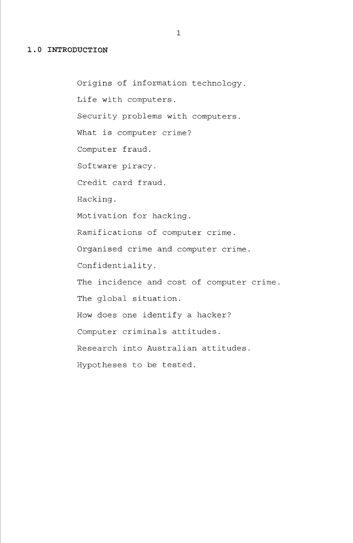## **1.0 INTRODUCTION**

Origins of information technology. Life with computers. Security problems with computers. What is computer crime? Computer fraud. Software piracy. Credit card fraud. Hacking, Motivation for hacking. Ramifications of computer crime. Organised crime and computer crime. Confidentiality. The incidence and cost of computer crime. The global situation. How does one identify a hacker? Computer criminals attitudes. Research into Australian attitudes. Hypotheses to be tested.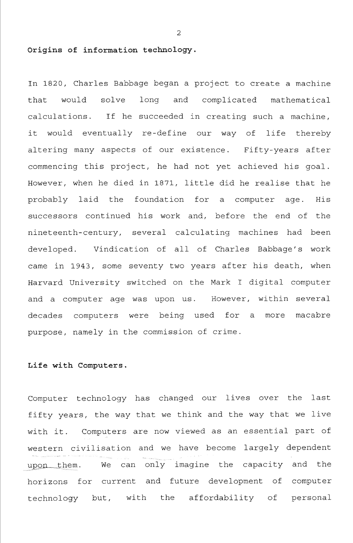#### **Origins of information technology.**

In 1820, Charles Babbage began a project to create a machine that would solve long and complicated mathematical calculations. If he succeeded in creating such a machine, it would eventually re-define our way of life thereby altering many aspects of our existence. Fifty-years after commencing this project, he had not yet achieved his goal. However, when he died in 1871, little did he realise that he probably laid the foundation for a computer age. His successors continued his work and, before the end of the nineteenth-century, several calculating machines had been developed. Vindication of all of Charles Babbage's work came in 1943, some seventy two years after his death, when Harvard University switched on the Mark I digital computer and a computer age was upon us. However, within several decades computers were being used for a more macabre purpose, namely in the commission of crime.

## **Life with Computers.**

Computer technology has changed our lives over the last fifty years, the way that we think and the way that we live with it. Computers are now viewed as an essential part of western civilisation and we have become largely dependent upon them. We can only imagine the capacity and the horizons for current and future development of computer technology but, with the affordability of personal

 $\overline{2}$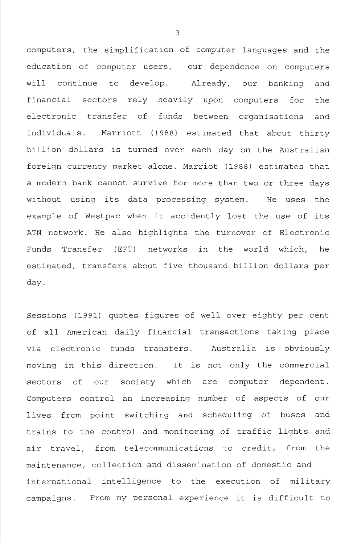computers, the simplification of computer languages and the education of computer users, our dependence on computers will continue to develop. Already, our banking and financial sectors rely heavily upon computers for the electronic transfer of funds between organisations and individuals. Marriott (1988) estimated that about thirty billion dollars is turned over each day on the Australian foreign currency market alone. Marriot (1988) estimates that a modern bank cannot survive for more than two or three days without using its data processing system. He uses the example of Westpac when it accidently lost the use of its ATN network. He also highlights the turnover of Electronic Funds Transfer (EFT) networks in the world which, he estimated, transfers about five thousand billion dollars per day.

Sessions (1991) quotes figures of well over eighty per cent of all American daily financial transactions taking place via electronic funds transfers. Australia is obviously moving in this direction. It is not only the commercial sectors of our society which are computer dependent. Computers control an increasing number of aspects of our lives from point switching and scheduling of buses and trains to the control and monitoring of traffic lights and air travel, from telecommunications to credit, from the maintenance, collection and dissemination of domestic and international intelligence to the execution of military campaigns. From my personal experience it is difficult to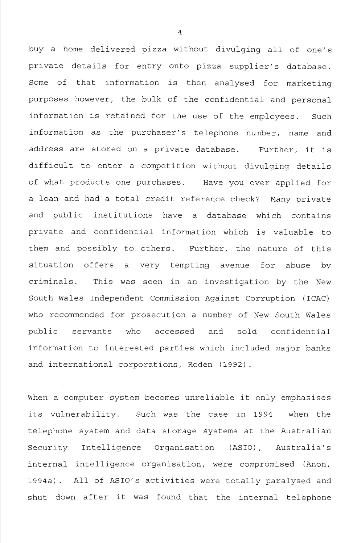buy a home delivered pizza without divulging all of one's private details for entry onto pizza supplier's database. Some of that information is then analysed for marketing purposes however, the bulk of the confidential and personal information is retained for the use of the employees. Such information as the purchaser's telephone number, name and address are stored on a private database. Further, it is difficult to enter a competition without divulging details of what products one purchases. Have you ever applied for a loan and had a total credit reference check? Many private and public institutions have a database which contains private and confidential information which is valuable to them and possibly to others. Further, the nature of this situation offers a very tempting avenue for abuse by criminals. This was seen in an investigation by the New South Wales Independent Commission Against Corruption (ICAC) who recommended for prosecution a number of New South Wales public servants who accessed and sold confidential information to interested parties which included major banks and international corporations, Roden (1992).

When a computer system becomes unreliable it only emphasises its vulnerability. Such was the case in 1994 when the telephone system and data storage systems at the Australian Security Intelligence Organisation (ASIO), Australia's internal intelligence organisation, were compromised (Anon, 1994a). All of ASIO's activities were totally paralysed and shut down after it was found that the internal telephone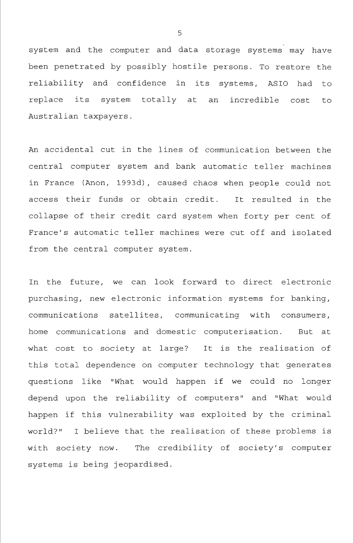system and the computer and data storage systems may have been penetrated by possibly hostile persons. To restore the reliability and confidence in its systems, ASIO had to replace its system totally at an incredible cost to Australian taxpayers.

An accidental cut in the lines of communication between the central computer system and bank automatic teller machines in France (Anon, 1993d), caused chaos when people could not access their funds or obtain credit. It resulted in the collapse of their credit card system when forty per cent of France's automatic teller machines were cut off and isolated from the central computer system.

In the future, we can look forward to direct electronic purchasing, new electronic information systems for banking, communications satellites, communicating with consumers, home communications and domestic computerisation. But at what cost to society at large? It is the realisation of this total dependence on computer technology that generates questions like "What would happen if we could no longer depend upon the reliability of computers" and "What would happen if this vulnerability was exploited by the criminal world?" I believe that the realisation of these problems is with society now. The credibility of society's computer systems is being jeopardised.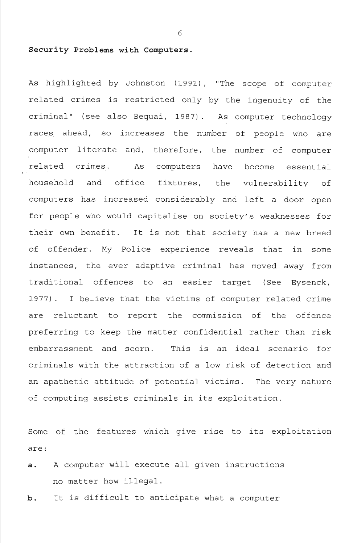#### **Security Problems with Computers.**

As highlighted by Johnston (1991), "The scope of computer related crimes is restricted only by the ingenuity of the criminal" (see also Bequai, 1987) . As computer technology races ahead, so increases the number of people who are computer literate and, therefore, the number of computer related crimes. As computers have become essential household and office fixtures, the vulnerability of computers has increased considerably and left a door open for people who would capitalise on society's weaknesses for their own benefit. It is not that society has a new breed of offender. My Police experience reveals that in some instances, the ever adaptive criminal has moved away from traditional offences to an easier target (See Eysenck, 1977) . I believe that the victims of computer related crime are reluctant to report the commission of the offence preferring to keep the matter confidential rather than risk embarrassment and scorn. This is an ideal scenario for criminals with the attraction of a low risk of detection and an apathetic attitude of potential victims. The very nature of computing assists criminals in its exploitation.

Some of the features which give rise to its exploitation are :

a. A computer will execute all given instructions no matter how illegal.

b. It is difficult to anticipate what a computer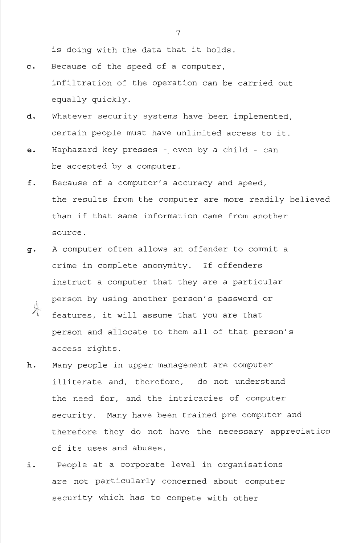is doing with the data that it holds.

- c. Because of the speed of a computer, infiltration of the operation can be carried out equally quickly.
- d. Whatever security systems have been implemented, certain people must have unlimited access to it.
- e. Haphazard key presses even by a child can be accepted by a computer,
- f. Because of a computer's accuracy and speed, the results from the computer are more readily believed than if that same information came from another source.
- g. A computer often allows an offender to commit a crime in complete anonymity. If offenders instruct a computer that they are a particular person by using another person's password or<br>features it will assume that you are that features, it will assume that you are that person and allocate to them all of that person's access rights.
- h. Many people in upper management are computer illiterate and, therefore, do not understand the need for, and the intricacies of computer security. Many have been trained pre-computer and therefore they do not have the necessary appreciation of its uses and abuses.
- i. People at a corporate level in organisations are not particularly concerned about computer security which has to compete with other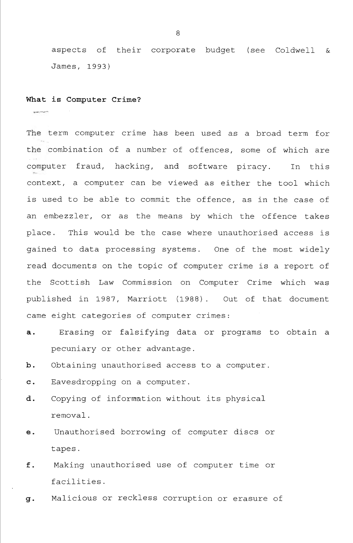aspects of their corporate budget (see Coldwell & James, 1993)

#### **What is Computer Crime?**

The term computer crime has been used as a broad term for the combination of a number of offences, some of which are computer fraud, hacking, and software piracy. In this context, a computer can be viewed as either the tool which is used to be able to commit the offence, as in the case of an embezzler, or as the means by which the offence takes place. This would be the case where unauthorised access is gained to data processing systems. One of the most widely read documents on the topic of computer crime is a report of the Scottish Law Commission on Computer Crime which was published in 1987, Marriott (1988) . Out of that document came eight categories of computer crimes:

- a. Erasing or falsifying data or programs to obtain a pecuniary or other advantage.
- b. Obtaining unauthorised access to a computer.

c. Eavesdropping on a computer.

- d. Copying of information without its physical removal.
- e. Unauthorised borrowing of computer discs or tapes.
- f. Making unauthorised use of computer time or facilities.
- g. Malicious or reckless corruption or erasure of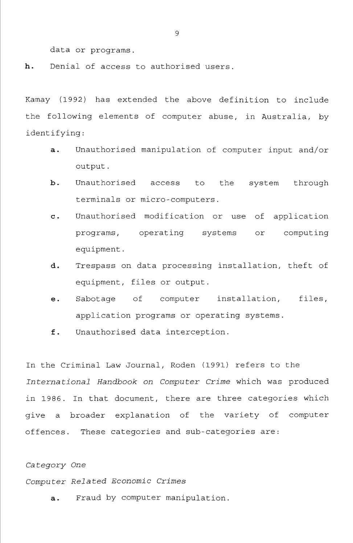data or programs.

h. Denial of access to authorised users.

Kamay (1992) has extended the above definition to include the following elements of computer abuse, in Australia, by identifying:

- a. Unauthorised manipulation of computer input and/or output.
- b. Unauthorised access to the system through terminals or micro-computers.
- c. Unauthorised modification or use of application programs, operating systems or computing equipment.
- d. Trespass on data processing installation, theft of equipment, files or output.
- e. Sabotage of computer installation, files, application programs or operating systems.
- f. Unauthorised data interception.

In the Criminal Law Journal, Roden (1991) refers to the *International Handbook on Computer Crime* which was produced in 1986. In that document, there are three categories which give a broader explanation of the variety of computer offences. These categories and sub-categories are:

*Category One* 

*Computer Related Economic Crimes* 

a. Fraud by computer manipulation.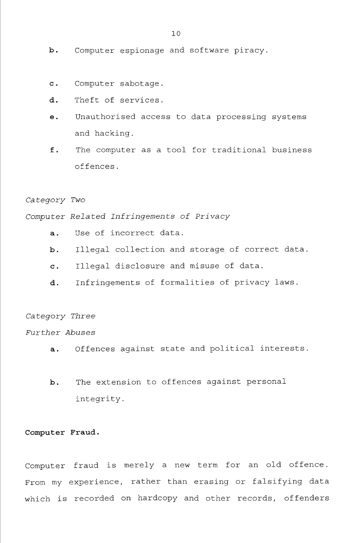- b. Computer espionage and software piracy.
- c. Computer sabotage.
- d. Theft of services.
- e. Unauthorised access to data processing systems and hacking.
- f. The computer as a tool for traditional business offences.

*Category Two* 

*Computer Related Infringements of Privacy* 

- a. Use of incorrect data.
- b. Illegal collection and storage of correct data.
- c. Illegal disclosure and misuse of data.
- d. Infringements of formalities of privacy laws.

Category *Three* 

*Further Abuses* 

- a. Offences against state and political interests.
- b. The extension to offences against personal integrity.

### **Computer Fraud.**

Computer fraud is merely a new term for an old offence. From my experience, rather than erasing or falsifying data which is recorded on hardcopy and other records, offenders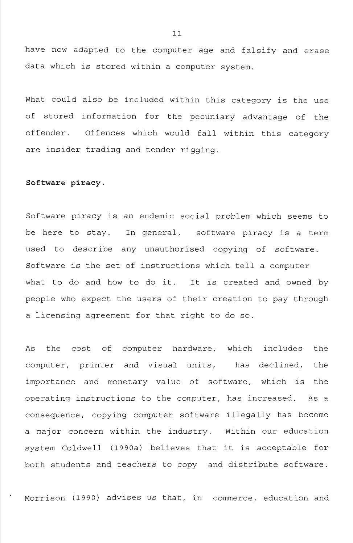have now adapted to the computer age and falsify and erase data which is stored within a computer system.

What could also be included within this category is the use of stored information for the pecuniary advantage of the offender. Offences which would fall within this category are insider trading and tender rigging.

#### **Software piracy.**

Software piracy is an endemic social problem which seems to be here to stay. In general, software piracy is a term used to describe any unauthorised copying of software. Software is the set of instructions which tell a computer what to do and how to do it. It is created and owned by people who expect the users of their creation to pay through a licensing agreement for that right to do so.

As the cost of computer hardware, which includes the computer, printer and visual units, has declined, the importance and monetary value of software, which is the operating instructions to the computer, has increased. As a consequence, copying computer software illegally has become a major concern within the industry. Within our education system Coldwell (1990a) believes that it is acceptable for both students and teachers to copy and distribute software.

Morrison (1990) advises us that, in commerce, education and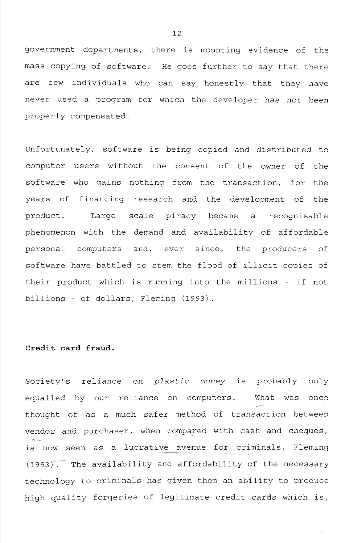government departments, there is mounting evidence of the mass copying of software. He goes further to say that there are few individuals who can say honestly that they have never used a program for which the developer has not been properly compensated.

Unfortunately, software is being copied and distributed to computer users without the consent of the owner of the software who gains nothing from the transaction, for the years of financing research and the development of the product. Large scale piracy became a recognisable phenomenon with the demand and availability of affordable personal computers and, ever since, the producers of software have battled to stem the flood of illicit copies of their product which is running into the millions - if not billions - of dollars, Fleming (1993) .

# **Credit card fraud.**

Society's reliance on *plastic money* is probably only equalled by our reliance on computers. What was once thought of as a much safer method of transaction between vendor and purchaser, when compared with cash and cheques, is now seen as a lucrative avenue for criminals, Fleming  $(1993)$ . The availability and affordability of the necessary technology to criminals has given them an ability to produce high quality forgeries of legitimate credit cards which is.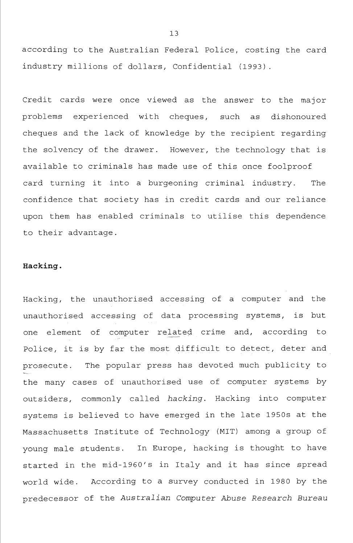according to the Australian Federal Police, costing the card industry millions of dollars. Confidential (1993).

Credit cards were once viewed as the answer to the major problems experienced with cheques, such as dishonoured cheques and the lack of knowledge by the recipient regarding the solvency of the drawer. However, the technology that is available to criminals has made use of this once foolproof card turning it into a burgeoning criminal industry. The confidence that society has in credit cards and our reliance upon them has enabled criminals to utilise this dependence to their advantage.

#### **Hacking.**

Hacking, the unauthorised accessing of a computer and the unauthorised accessing of data processing systems, is but one element of computer related crime and, according to Police, it is by far the most difficult to detect, deter and prosecute. The popular press has devoted much publicity to the many cases of unauthorised use of computer systems by outsiders, commonly called *hacking.* Hacking into computer systems is believed to have emerged in the late 1950s at the Massachusetts Institute of Technology (MIT) among a group of young male students. In Europe, hacking is thought to have started in the mid-1960's in Italy and it has since spread world wide. According to a survey conducted in 1980 by the predecessor of the *Australian Computer Abuse Research Bureau*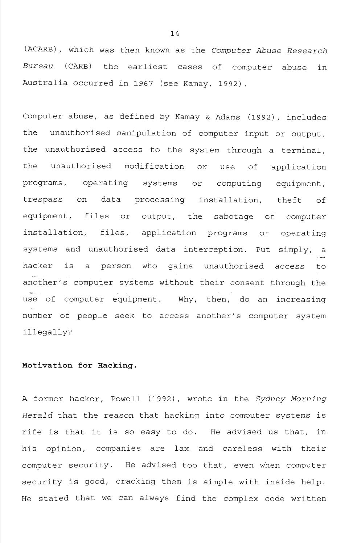(ACARB), which was then known as the *Computer Abuse Research Bureau* (CARB) the earliest cases of computer abuse in Australia occurred in 1967 (see Kamay, 1992).

Computer abuse, as defined by Kamay & Adams (1992), includes the unauthorised manipulation of computer input or output, the unauthorised access to the system through a terminal, the unauthorised modification or use of application programs, operating systems or computing equipment, trespass on data processing installation, theft of equipment, files or output, the sabotage of computer installation, files, application programs or operating systems and unauthorised data interception. Put simply, a hacker is a person who gains unauthorised access to another's computer systems without their consent through the use of computer equipment. Why, then, do an increasing number of people seek to access another's computer system illegally?

#### **Motivation for Hacking.**

A former hacker, Powell (1992), wrote in the *Sydney Morning Herald* that the reason that hacking into computer systems is rife is that it is so easy to do. He advised us that, in his opinion, companies are lax and careless with their computer security. He advised too that, even when computer security is good, cracking them is simple with inside help. He stated that we can always find the complex code written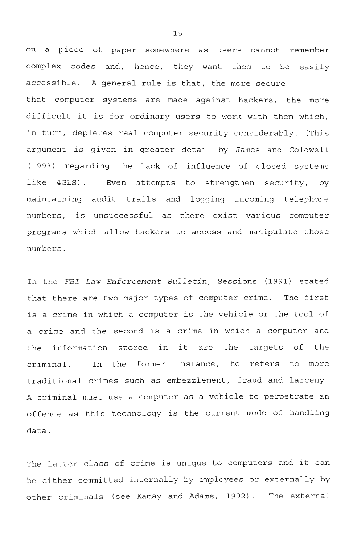on a piece of paper somewhere as users cannot remember complex codes and, hence, they want them to be easily accessible. A general rule is that, the more secure that computer systems are made against hackers, the more difficult it is for ordinary users to work with them which, in turn, depletes real computer security considerably. (This argument is given in greater detail by James and Coldwell (1993) regarding the lack of influence of closed systems like 4GLS). Even attempts to strengthen security, by maintaining audit trails and logging incoming telephone numbers, is unsuccessful as there exist various computer programs which allow hackers to access and manipulate those numbers.

In the *FBI Law Enforcement Bulletin,* Sessions (1991) stated that there are two major types of computer crime. The first is a crime in which a computer is the vehicle or the tool of a crime and the second is a crime in which a computer and the information stored in it are the targets of the criminal. In the former instance, he refers to more traditional crimes such as embezzlement, fraud and larceny. A criminal must use a computer as a vehicle to perpetrate an offence as this technology is the current mode of handling data.

The latter class of crime is unique to computers and it can be either committed internally by employees or externally by other criminals (see Kamay and Adams, 1992). The external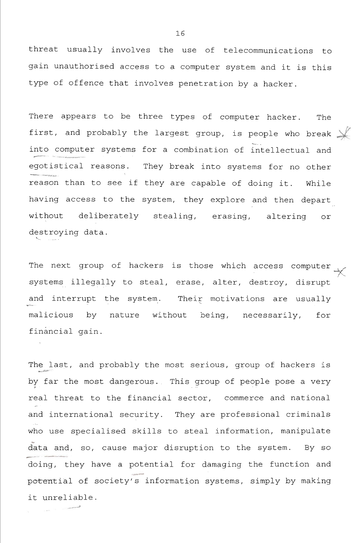threat usually involves the use of telecommunications to gain unauthorised access to a computer system and it is this type of offence that involves penetration by a hacker.

There appears to be three types of computer hacker. The first, and probably the largest group, is people who break  $\searrow$ into computer systems for a combination of intellectual and egotistical reasons. They break into systems for no other reason than to see if they are capable of doing it. While having access to the system, they explore and then depart without deliberately stealing, erasing, altering or destroying data.

The next group of hackers is those which access computer systems illegally to steal, erase, alter, destroy, disrupt and interrupt the system. Their motivations are usually malicious by nature without being, necessarily, for financial gain.

The last, and probably the most serious, group of hackers is by far the most dangerous. This group of people pose a very *If • - . -*  real threat to the financial sector, commerce and national and international security. They are professional criminals who use specialised skills to steal information, manipulate data and, so, cause major disruption to the system. By so doing, they have a potential for damaging the function and potential of society's information systems, simply by making it unreliable.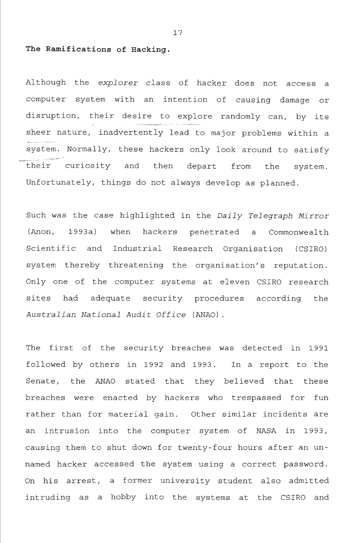#### The Ramifications of Hacking.

Although the *explorer* class of hacker does not access a computer system with an intention of causing damage or disruption, their desire to explore randomly can, by its sheer nature, inadvertently lead to major problems within a system. Normally, these hackers only look around to satisfy their curiosity and then depart from the system. Unfortunately, things do not always develop as planned.

Such was the case highlighted in the *Daily Telegraph Mirror*  (Anon, 1993a) when hackers penetrated a Commonwealth Scientific and Industrial Research Organisation (CSIRO) system thereby threatening the organisation's reputation. Only one of the computer systems at eleven CSIRO research sites had adequate security procedures according the *Australian National Audit Office* (ANAO).

The first of the security breaches was detected in 1991 followed by others in 1992 and 1993. In a report to the Senate, the ANAO stated that they believed that these breaches were enacted by hackers who trespassed for fun rather than for material gain. Other similar incidents are an intrusion into the computer system of NASA in 1993, causing them to shut down for twenty-four hours after an unnamed hacker accessed the system using a correct password. On his arrest, a former university student also admitted intruding as a hobby into the systems at the CSIRO and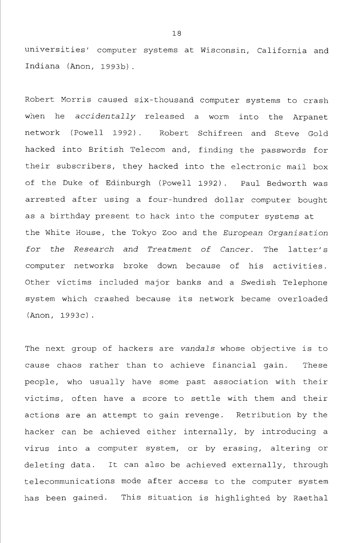universities' computer systems at Wisconsin, California and Indiana (Anon, 1993b).

Robert Morris caused six-thousand computer systems to crash when he *accidentally* released a worm into the Arpanet network (Powell 1992) . Robert Schifreen and Steve Gold hacked into British Telecom and, finding the passwords for their subscribers, they hacked into the electronic mail box of the Duke of Edinburgh (Powell 1992) . Paul Bedworth was arrested after using a four-hundred dollar computer bought as a birthday present to hack into the computer systems at the White House, the Tokyo Zoo and the *European Organisation for the Research and Treatment of Cancer.* The latter's computer networks broke down because of his activities. Other victims included major banks and a Swedish Telephone system which crashed because its network became overloaded (Anon, 1993c).

The next group of hackers are *vandals* whose objective is to cause chaos rather than to achieve financial gain. These people, who usually have some past association with their victims, often have a score to settle with them and their actions are an attempt to gain revenge. Retribution by the hacker can be achieved either internally, by introducing a virus into a computer system, or by erasing, altering or deleting data. It can also be achieved externally, through telecommunications mode after access to the computer system has been gained. This situation is highlighted by Raethal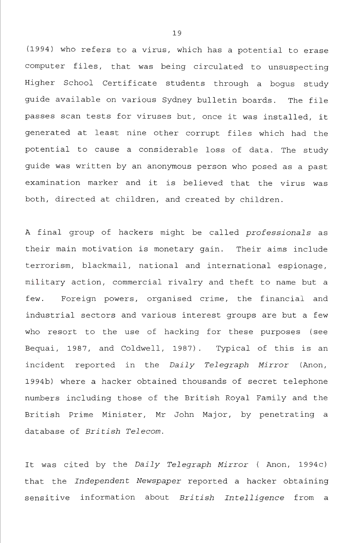(1994) who refers to a virus, which has a potential to erase computer files, that was being circulated to unsuspecting Higher School Certificate students through a bogus study guide available on various Sydney bulletin boards. The file passes scan tests for viruses but, once it was installed, it generated at least nine other corrupt files which had the potential to cause a considerable loss of data. The study guide was written by an anonymous person who posed as a past examination marker and it is believed that the virus was both, directed at children, and created by children.

A final group of hackers might be called *professionals* as their main motivation is monetary gain. Their aims include terrorism, blackmail, national and international espionage, military action, commercial rivalry and theft to name but a few. Foreign powers, organised crime, the financial and industrial sectors and various interest groups are but a few who resort to the use of hacking for these purposes (see Bequai, 1987, and Coldwell, 1987) . Typical of this is an incident reported in the *Daily Telegraph Mirror* (Anon, 1994b) where a hacker obtained thousands of secret telephone numbers including those of the British Royal Family and the British Prime Minister, Mr John Major, by penetrating a database of *British Telecom.* 

It was cited by the *Daily Telegraph Mirror* ( Anon, 1994c) that the *Independent Newspaper* reported a hacker obtaining sensitive information about *British Intelligence* from a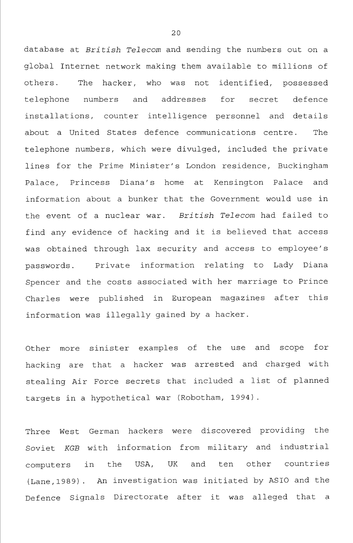database at *British Telecom* and sending the numbers out on a global Internet network making them available to millions of others. The hacker, who was not identified, possessed telephone numbers and addresses for secret defence installations, counter intelligence personnel and details about a United States defence communications centre. The telephone numbers, which were divulged, included the private lines for the Prime Minister's London residence, Buckingham Palace, Princess Diana's home at Kensington Palace and information about a bunker that the Government would use in the event of a nuclear war. *British Telecom* had failed to find any evidence of hacking and it is believed that access was obtained through lax security and access to employee's passwords. Private information relating to Lady Diana Spencer and the costs associated with her marriage to Prince Charles were published in European magazines after this information was illegally gained by a hacker.

Other more sinister examples of the use and scope for hacking are that a hacker was arrested and charged with stealing Air Force secrets that included a list of planned targets in a hypothetical war (Robotham, 1994).

Three West German hackers were discovered providing the Soviet *KGB* with information from military and industrial computers in the USA, UK and ten other countries (Lane,1989). An investigation was initiated by ASIO and the Defence Signals Directorate after it was alleged that a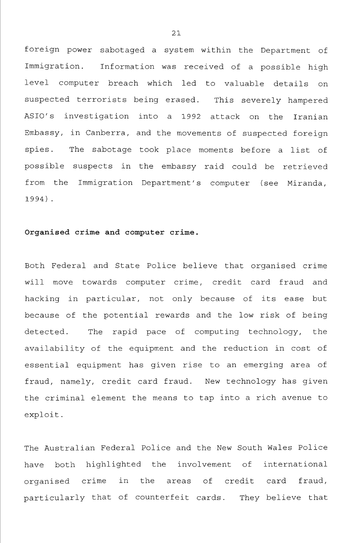foreign power sabotaged a system within the Department of Immigration. Information was received of a possible high level computer breach which led to valuable details on suspected terrorists being erased. This severely hampered ASIO's investigation into a 1992 attack on the Iranian Embassy, in Canberra, and the movements of suspected foreign spies. The sabotage took place moments before a list of possible suspects in the embassy raid could be retrieved from the Immigration Department's computer (see Miranda, 1994) .

#### **Organised crime and computer crime.**

Both Federal and State Police believe that organised crime will move towards computer crime, credit card fraud and hacking in particular, not only because of its ease but because of the potential rewards and the low risk of being detected. The rapid pace of computing technology, the availability of the equipment and the reduction in cost of essential equipment has given rise to an emerging area of fraud, namely, credit card fraud. New technology has given the criminal element the means to tap into a rich avenue to exploit.

The Australian Federal Police and the New South Wales Police have both highlighted the involvement of international organised crime in the areas of credit card fraud, particularly that of counterfeit cards. They believe that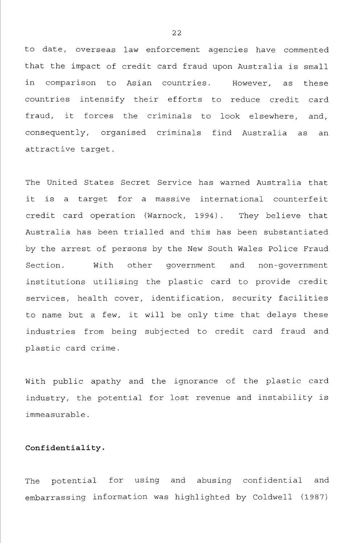to date, overseas law enforcement agencies have commented that the impact of credit card fraud upon Australia is small in comparison to Asian countries. However, as these countries intensify their efforts to reduce credit card fraud, it forces the criminals to look elsewhere, and, consequently, organised criminals find Australia as an attractive target.

The United States Secret Service has warned Australia that it is a target for a massive international counterfeit credit card operation (Warnock, 1994) . They believe that Australia has been trialled and this has been substantiated by the arrest of persons by the New South Wales Police Fraud Section. With other government and non-government institutions utilising the plastic card to provide credit services, health cover, identification, security facilities to name but a few, it will be only time that delays these industries from being subjected to credit card fraud and plastic card crime.

With public apathy and the ignorance of the plastic card industry, the potential for lost revenue and instability is immeasurable.

#### **Confidentiality.**

The potential for using and abusing confidential and embarrassing information was highlighted by Coldwell (1987)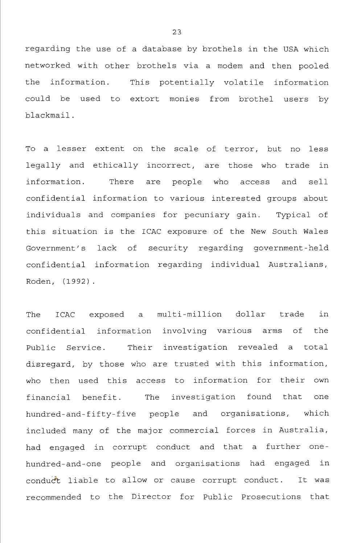regarding the use of a database by brothels in the USA which networked with other brothels via a modem and then pooled the information. This potentially volatile information could be used to extort monies from brothel users by blackmail.

To a lesser extent on the scale of terror, but no less legally and ethically incorrect, are those who trade in information. There are people who access and sell confidential information to various interested groups about individuals and companies for pecuniary gain. Typical of this situation is the ICAC exposure of the New South Wales Government's lack of security regarding government-held confidential information regarding individual Australians, Roden, (1992) .

The ICAC exposed a multi-million dollar trade in confidential information involving various arms of the Public Service. Their investigation revealed a total disregard, by those who are trusted with this information, who then used this access to information for their own financial benefit. The investigation found that one hundred-and-fifty-five people and organisations, which included many of the major commercial forces in Australia, had engaged in corrupt conduct and that a further onehundred-and-one people and organisations had engaged in conducft liable to allow or cause corrupt conduct. It was recommended to the Director for Public Prosecutions that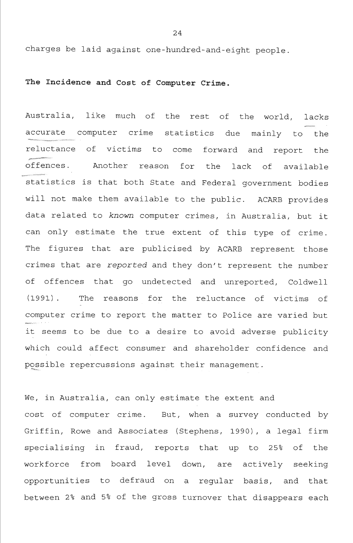charges be laid against one-hundred-and-eight people.

# **The Incidence and Cost of Computer Crime.**

Australia, like much of the rest of the world, lacks accurate computer crime statistics due mainly to the reluctance of victims to come forward and report the offences. Another reason for the lack of available statistics is that both State and Federal government bodies will not make them available to the public. ACARB provides data related to *known* computer crimes, in Australia, but it can only estimate the true extent of this type of crime. The figures that are publicised by ACARB represent those crimes that are *reported* and they don't represent the number of offences that go undetected and unreported, Coldwell (1991) . The reasons for the reluctance of victims of computer crime to report the matter to Police are varied but it seems to be due to a desire to avoid adverse publicity which could affect consumer and shareholder confidence and possible repercussions against their management.

We, in Australia, can only estimate the extent and cost of computer crime. But, when a survey conducted by Griffin, Rowe and Associates (Stephens, 1990), a legal firm specialising in fraud, reports that up to 25% of the workforce from board level down, are actively seeking opportunities to defraud on a regular basis, and that between 2% and 5% of the gross turnover that disappears each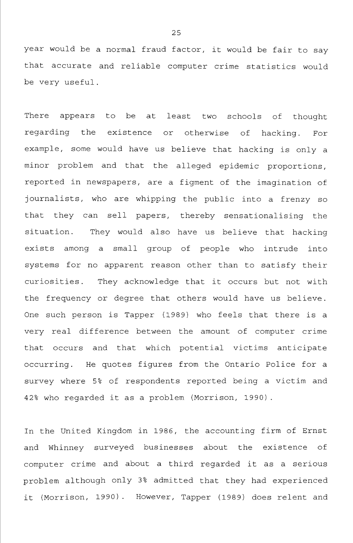year would be a normal fraud factor, it would be fair to say that accurate and reliable computer crime statistics would be very useful.

There appears to be at least two schools of thought regarding the existence or otherwise of hacking. For example, some would have us believe that hacking is only a minor problem and that the alleged epidemic proportions, reported in newspapers, are a figment of the imagination of journalists, who are whipping the public into a frenzy so that they can sell papers, thereby sensationalising the situation. They would also have us believe that hacking exists among a small group of people who intrude into systems for no apparent reason other than to satisfy their curiosities. They acknowledge that it occurs but not with the frequency or degree that others would have us believe. One such person is Tapper (1989) who feels that there is a very real difference between the amount of computer crime that occurs and that which potential victims anticipate occurring. He quotes figures from the Ontario Police for a survey where 5% of respondents reported being a victim and 42% who regarded it as a problem (Morrison, 1990).

In the United Kingdom in 1986, the accounting firm of Ernst and Whinney surveyed businesses about the existence of computer crime and about a third regarded it as a serious problem although only 3% admitted that they had experienced it (Morrison, 1990) . However, Tapper (1989) does relent and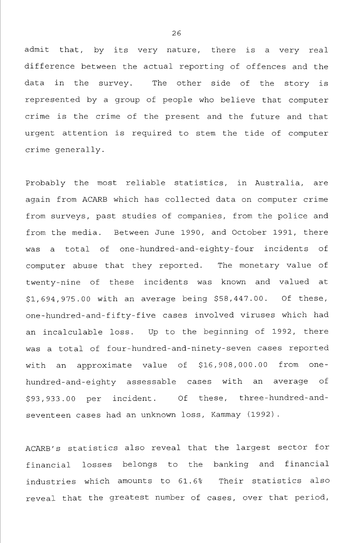admit that, by its very nature, there is a very real difference between the actual reporting of offences and the data in the survey. The other side of the story is represented by a group of people who believe that computer crime is the crime of the present and the future and that urgent attention is required to stem the tide of computer crime generally.

Probably the most reliable statistics, in Australia, are again from ACARB which has collected data on computer crime from surveys, past studies of companies, from the police and from the media. Between June 1990, and October 1991, there was a total of one-hundred-and-eighty-four incidents of computer abuse that they reported. The monetary value of twenty-nine of these incidents was known and valued at \$1,694,975.00 with an average being \$58,447.00. Of these, one-hundred-and-fifty-five cases involved viruses which had an incalculable loss. Up to the beginning of 1992, there was a total of four-hundred-and-ninety-seven cases reported with an approximate value of \$16,908,000.00 from onehundred-and-eighty assessable cases with an average of \$93,933.00 per incident. Of these, three-hundred-andseventeen cases had an unknown loss, Kammay (1992).

ACARB's statistics also reveal that the largest sector for financial losses belongs to the banking and financial industries which amounts to 61.6% Their statistics also reveal that the greatest number of cases, over that period,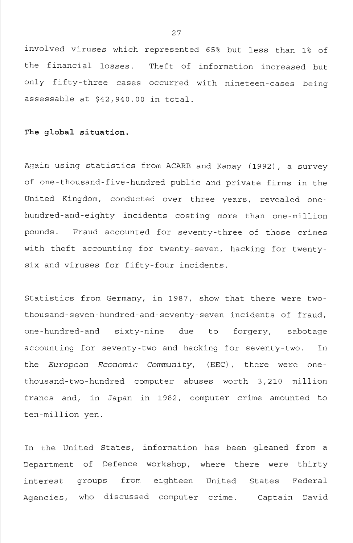involved viruses which represented 65% but less than 1% of the financial losses. Theft of information increased but only fifty-three cases occurred with nineteen-cases being assessable at \$42,940.00 in total.

#### **The global situation.**

Again using statistics from ACARB and Kamay (1992), a survey of one-thousand-five-hundred public and private firms in the United Kingdom, conducted over three years, revealed onehundred-and-eighty incidents costing more than one-million pounds. Fraud accounted for seventy-three of those crimes with theft accounting for twenty-seven, hacking for twentysix and viruses for fifty-four incidents.

Statistics from Germany, in 1987, show that there were twothousand-seven-hundred-and-seventy-seven incidents of fraud, one-hundred-and sixty-nine due to forgery, sabotage accounting for seventy-two and hacking for seventy-two. In the *European Economic Community,* (EEC), there were onethousand- two -hundred computer abuses worth 3,210 million francs and, in Japan in 1982, computer crime amounted to ten-million yen.

In the United States, information has been gleaned from a Department of Defence workshop, where there were thirty interest groups from eighteen United States Federal Agencies, who discussed computer crime. Captain David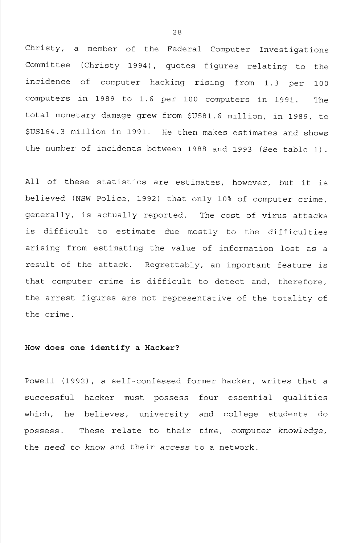Christy, a member of the Federal Computer Investigations Committee (Christy 1994), quotes figures relating to the incidence of computer hacking rising from 1.3 per 100 computers in 1989 to 1.6 per 100 computers in 1991. The total monetary damage grew from \$US81.6 million, in 1989, to \$US164.3 million in 1991. He then makes estimates and shows the number of incidents between 1988 and 1993 (See table 1).

All of these statistics are estimates, however, but it is believed (NSW Police, 1992) that only 10% of computer crime, generally, is actually reported. The cost of virus attacks is difficult to estimate due mostly to the difficulties arising from estimating the value of information lost as a result of the attack. Regrettably, an important feature is that computer crime is difficult to detect and, therefore, the arrest figures are not representative of the totality of the crime.

## **How does one identify a Hacker?**

Powell (1992) , a self-confessed former hacker, writes that a successful hacker must possess four essential qualities which, he believes, university and college students do possess. These relate to their *time, computer knowledge,*  the *need to know* and their *access* to a network.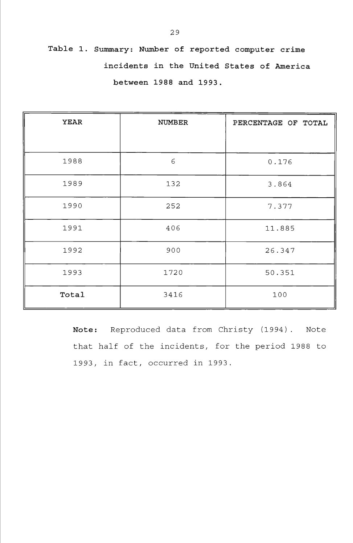**Table 1. Summary: Number of reported computer crime incidents in the United States of America between 1988 and 1993.** 

| <b>YEAR</b> | <b>NUMBER</b> | PERCENTAGE OF TOTAL |
|-------------|---------------|---------------------|
|             |               |                     |
| 1988        | 6             | 0.176               |
| 1989        | 132           | 3.864               |
| 1990        | 252           | 7.377               |
| 1991        | 406           | 11.885              |
| 1992        | 900           | 26.347              |
| 1993        | 1720          | 50.351              |
| Total       | 3416          | 100                 |

**Note:** Reproduced data from Christy (1994) . Note that half of the incidents, for the period 1988 to 1993, in fact, occurred in 1993.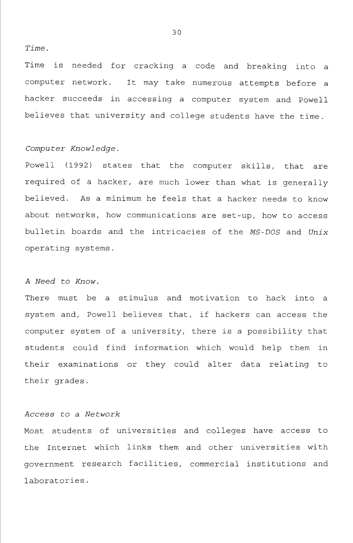## *Time.*

Time is needed for cracking a code and breaking into a computer network. It may take numerous attempts before a hacker succeeds in accessing a computer system and Powell believes that university and college students have the time.

# *Computer Knowledge.*

Powell (1992) states that the computer skills, that are required of a hacker, are much lower than what is generally believed. As a minimum he feels that a hacker needs to know about networks, how communications are set-up, how to access bulletin boards and the intricacies of the *MS-DOS* and *Unix*  operating systems.

## *A Need to Know.*

There must be a stimulus and motivation to hack into a system and, Powell believes that, if hackers can access the computer system of a university, there is a possibility that students could find information which would help them in their examinations or they could alter data relating to their grades.

## *Access to a Network*

Most students of universities and colleges have access to the Internet which links them and other universities with government research facilities, commercial institutions and laboratories.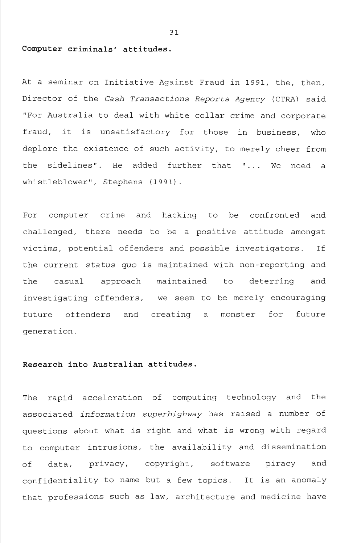#### **Computer criminals' attitudes.**

At a seminar on Initiative Against Fraud in 1991, the, then. Director of the *Cash Transactions Reports Agency* (CTRA) said "For Australia to deal with white collar crime and corporate fraud, it is unsatisfactory for those in business, who deplore the existence of such activity, to merely cheer from the sidelines". He added further that "... We need a whistleblower", Stephens (1991).

For computer crime and hacking to be confronted and challenged, there needs to be a positive attitude amongst victims, potential offenders and possible investigators. If the current status *quo* is maintained with non-reporting and the casual approach maintained to deterring and investigating offenders, we seem to be merely encouraging future offenders and creating a monster for future generation.

## **Research into Australian attitudes.**

The rapid acceleration of computing technology and the associated *information superhighway* has raised a number of questions about what is right and what is wrong with regard to computer intrusions, the availability and dissemination of data, privacy, copyright, software piracy and confidentiality to name but a few topics. It is an anomaly that professions such as law, architecture and medicine have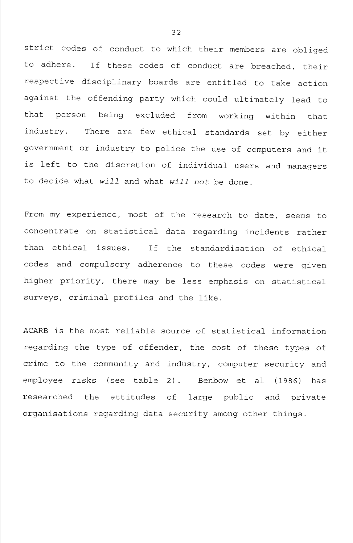strict codes of conduct to which their members are obliged to adhere. If these codes of conduct are breached, their respective disciplinary boards are entitled to take action against the offending party which could ultimately lead to that person being excluded from working within that industry. There are few ethical standards set by either government or industry to police the use of computers and it is left to the discretion of individual users and managers to decide what *will* and what *will not* be done.

From my experience, most of the research to date, seems to concentrate on statistical data regarding incidents rather than ethical issues. If the standardisation of ethical codes and compulsory adherence to these codes were given higher priority, there may be less emphasis on statistical surveys, criminal profiles and the like.

ACARB is the most reliable source of statistical information regarding the type of offender, the cost of these types of crime to the community and industry, computer security and employee risks (see table 2). Benbow et al (1986) has researched the attitudes of large public and private organisations regarding data security among other things.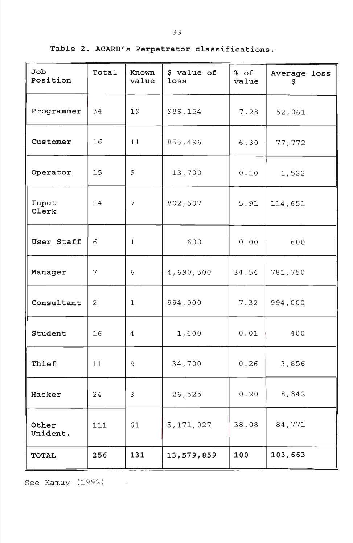| Job<br>Position   | Total | Known<br>value | \$ value of<br>loss | % of<br>value | Average loss<br>\$ |
|-------------------|-------|----------------|---------------------|---------------|--------------------|
| Programmer        | 34    | 19             | 989,154             | 7.28          | 52,061             |
| Customer          | 16    | 11             | 855,496             | 6.30          | 77,772             |
| Operator          | 15    | 9              | 13,700              | 0.10          | 1,522              |
| Input<br>Clerk    | 14    | 7              | 802,507             | 5.91          | 114,651            |
| User Staff        | 6     | $\mathbf{1}$   | 600                 | 0.00          | 600                |
| Manager           | 7     | 6              | 4,690,500           | 34.54         | 781,750            |
| Consultant        | 2     | $\mathbf{1}$   | 994,000             | 7.32          | 994,000            |
| Student           | 16    | 4              | 1,600               | 0.01          | 400                |
| Thief             | 11    | 9              | 34,700              | 0.26          | 3,856              |
| Hacker            | 24    | 3              | 26,525              | 0.20          | 8,842              |
| Other<br>Unident. | 111   | 61             | 5,171,027           | 38.08         | 84,771             |
| <b>TOTAL</b>      | 256   | 131            | 13,579,859          | 100           | 103,663            |

See Kamay (1992)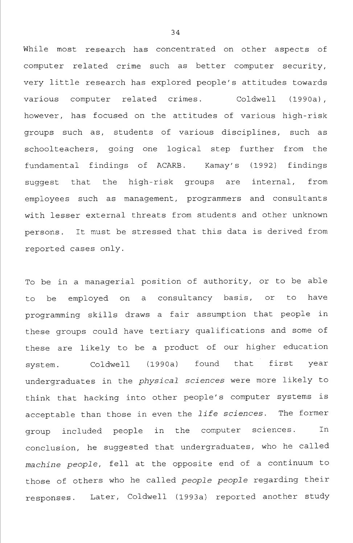While most research has concentrated on other aspects of computer related crime such as better computer security, very little research has explored people's attitudes towards various computer related crimes. Coldwell (1990a), however, has focused on the attitudes of various high-risk groups such as, students of various disciplines, such as schoolteachers, going one logical step further from the fundamental findings of ACARB. Kamay's (1992) findings suggest that the high-risk groups are internal, from employees such as management, programmers and consultants with lesser external threats from students and other unknown persons. It must be stressed that this data is derived from reported cases only.

To be in a managerial position of authority, or to be able to be employed on a consultancy basis, or to have programming skills draws a fair assumption that people in these groups could have tertiary qualifications and some of these are likely to be a product of our higher education system. Coldwell (1990a) found that first year undergraduates in the *physical sciences* were more likely to think that hacking into other people's computer systems is acceptable than those in even the *life sciences.* The former group included people in the computer sciences. In conclusion, he suggested that undergraduates, who he called *machine people,* fell at the opposite end of a continuum to those of others who he called *people people* regarding their responses. Later, Coldwell (1993a) reported another study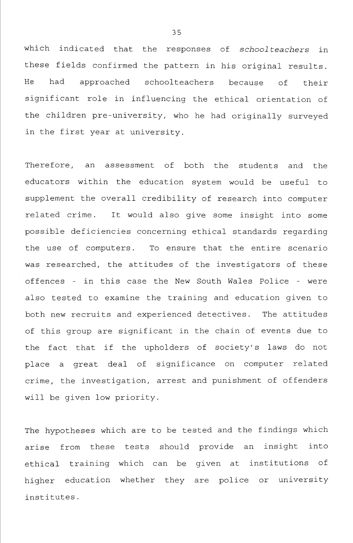which indicated that the responses of *schoolteachers* in these fields confirmed the pattern in his original results. He had approached schoolteachers because of their significant role in influencing the ethical orientation of the children pre-university, who he had originally surveyed in the first year at university.

Therefore, an assessment of both the students and the educators within the education system would be useful to supplement the overall credibility of research into computer related crime. It would also give some insight into some possible deficiencies concerning ethical standards regarding the use of computers. To ensure that the entire scenario was researched, the attitudes of the investigators of these offences - in this case the New South Wales Police - were also tested to examine the training and education given to both new recruits and experienced detectives. The attitudes of this group are significant in the chain of events due to the fact that if the upholders of society's laws do not place a great deal of significance on computer related crime, the investigation, arrest and punishment of offenders will be given low priority.

The hypotheses which are to be tested and the findings which arise from these tests should provide an insight into ethical training which can be given at institutions of higher education whether they are police or university institutes.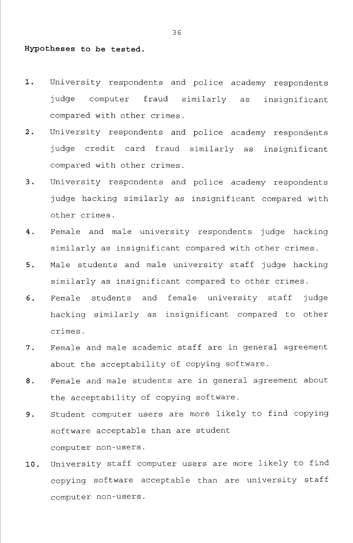## **Hypotheses to be tested.**

- **1.** University respondents and police academy respondents judge computer fraud similarly as insignificant compared with other crimes.
- 2. University respondents and police academy respondents judge credit card fraud similarly as insignificant compared with other crimes.
- 3. University respondents and police academy respondents judge hacking similarly as insignificant compared with other crimes.
- 4. Female and male university respondents judge hacking similarly as insignificant compared with other crimes.
- 5. Male students and male university staff judge hacking similarly as insignificant compared to other crimes.
- 6. Female students and female university staff judge hacking similarly as insignificant compared to other crimes.
- 7. Female and male academic staff are in general agreement about the acceptability of copying software.
- 8. Female and male students are in general agreement about the acceptability of copying software.
- 9. Student computer users are more likely to find copying software acceptable than are student computer non-users.
- 10. University staff computer users are more likely to find copying software acceptable than are university staff computer non-users.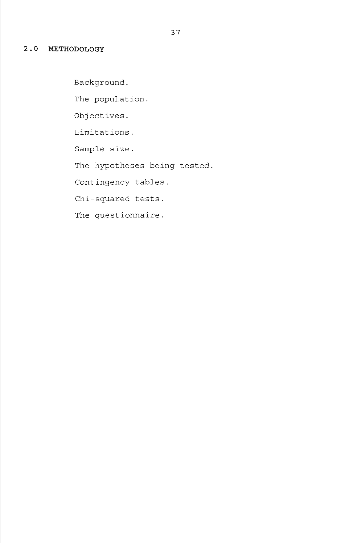# **2.0 METHODOLOGY**

Background. The population. Objectives. Limitations. Sample size. The hypotheses being tested, Contingency tables. Chi-squared tests. The questionnaire.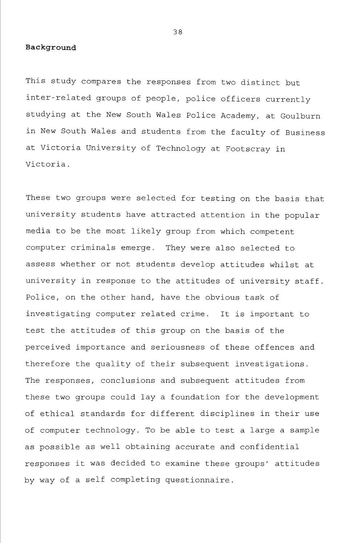#### **Background**

This study compares the responses from two distinct but inter-related groups of people, police officers currently studying at the New South Wales Police Academy, at Goulburn in New South Wales and students from the faculty of Business at Victoria University of Technology at Footscray in Victoria.

These two groups were selected for testing on the basis that university students have attracted attention in the popular media to be the most likely group from which competent computer criminals emerge. They were also selected to assess whether or not students develop attitudes whilst at university in response to the attitudes of university staff. Police, on the other hand, have the obvious task of investigating computer related crime. It is important to test the attitudes of this group on the basis of the perceived importance and seriousness of these offences and therefore the quality of their subsequent investigations. The responses, conclusions and subsequent attitudes from these two groups could lay a foundation for the development of ethical standards for different disciplines in their use of computer technology. To be able to test a large a sample as possible as well obtaining accurate and confidential responses it was decided to examine these groups' attitudes by way of a self completing questionnaire.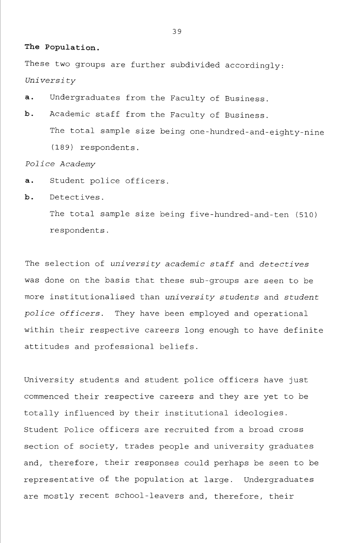#### **The Population.**

These two groups are further subdivided accordingly: *University* 

- a. Undergraduates from the Faculty of Business.
- b. Academic staff from the Faculty of Business. The total sample size being one-hundred-and-eighty-nine (18 9) respondents.

## *Police Academy*

- a. Student police officers.
- b. Detectives.

The total sample size being five-hundred-and-ten (510) respondents.

The selection of *university academic staff* and *detectives*  was done on the basis that these sub-groups are seen to be more institutionalised than *university students* and *student police officers.* They have been employed and operational within their respective careers long enough to have definite attitudes and professional beliefs.

University students and student police officers have just commenced their respective careers and they are yet to be totally influenced by their institutional ideologies. Student Police officers are recruited from a broad cross section of society, trades people and university graduates and, therefore, their responses could perhaps be seen to be representative of the population at large. Undergraduates are mostly recent school-leavers and, therefore, their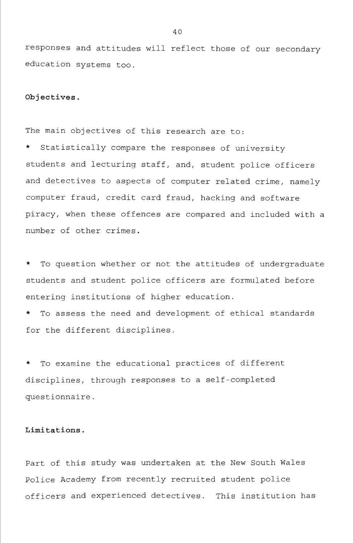responses and attitudes will reflect those of our secondary education systems too.

## **Objectives**.

The main objectives of this research are to:

Statistically compare the responses of university students and lecturing staff, and, student police officers and detectives to aspects of computer related crime, namely computer fraud, credit card fraud, hacking and software piracy, when these offences are compared and included with a number of other crimes.

To question whether or not the attitudes of undergraduate students and student police officers are formulated before entering institutions of higher education.

To assess the need and development of ethical standards for the different disciplines.

To examine the educational practices of different disciplines, through responses to a self-completed questionnaire.

# **Limitations.**

Part of this study was undertaken at the New South Wales Police Academy from recently recruited student police officers and experienced detectives. This institution has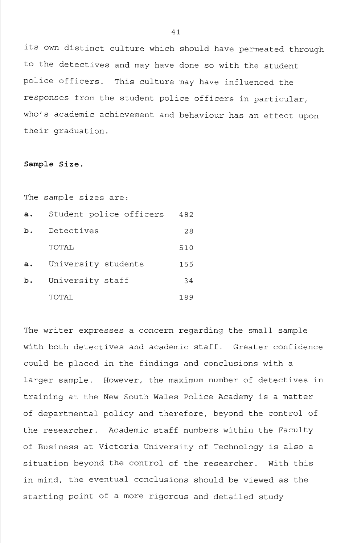its own distinct culture which should have permeated through to the detectives and may have done so with the student police officers. This culture may have influenced the responses from the student police officers in particular, who's academic achievement and behaviour has an effect upon their graduation.

#### **Sample Size.**

The sample sizes are:

| a. | Student police officers | 482 |
|----|-------------------------|-----|
| b. | Detectives              | 28  |
|    | TOTAL                   | 510 |
| a. | University students     | 155 |
| b. | University staff        | 34  |
|    | TOTAL.                  | 189 |

The writer expresses a concern regarding the small sample with both detectives and academic staff. Greater confidence could be placed in the findings and conclusions with a larger sample. However, the maximum number of detectives in training at the New South Wales Police Academy is a matter of departmental policy and therefore, beyond the control of the researcher. Academic staff numbers within the Faculty of Business at Victoria University of Technology is also a situation beyond the control of the researcher. With this in mind, the eventual conclusions should be viewed as the starting point of a more rigorous and detailed study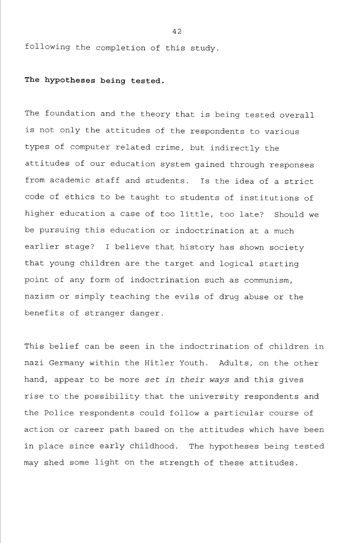following the completion of this study.

# **The hypotheses being tested.**

The foundation and the theory that is being tested overall is not only the attitudes of the respondents to various types of computer related crime, but indirectly the attitudes of our education system gained through responses from academic staff and students. Is the idea of a strict code of ethics to be taught to students of institutions of higher education a case of too little, too late? Should we be pursuing this education or indoctrination at a much earlier stage? I believe that history has shown society that young children are the target and logical starting point of any form of indoctrination such as communism, nazism or simply teaching the evils of drug abuse or the benefits of stranger danger.

This belief can be seen in the indoctrination of children in nazi Germany within the Hitler Youth. Adults, on the other hand, appear to be more set *in their ways* and this gives rise to the possibility that the university respondents and the Police respondents could follow a particular course of action or career path based on the attitudes which have been in place since early childhood. The hypotheses being tested may shed some light on the strength of these attitudes.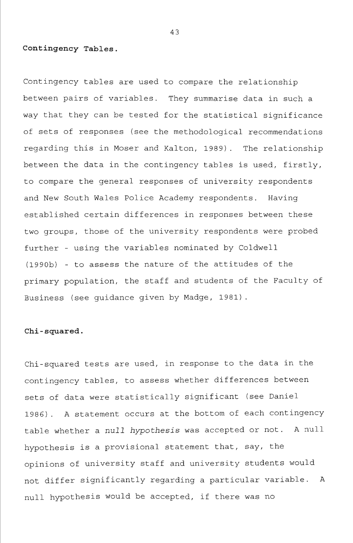# **Contingency Tables**.

Contingency tables are used to compare the relationship between pairs of variables. They summarise data in such a way that they can be tested for the statistical significance of sets of responses (see the methodological recommendations regarding this in Moser and Kalton, 1989). The relationship between the data in the contingency tables is used, firstly, to compare the general responses of university respondents and New South Wales Police Academy respondents. Having established certain differences in responses between these two groups, those of the university respondents were probed further - using the variables nominated by Coldwell (1990b) - to assess the nature of the attitudes of the primary population, the staff and students of the Faculty of Business (see guidance given by Madge, 1981).

## **Chi-squared.**

Chi-squared tests are used, in response to the data in the contingency tables, to assess whether differences between sets of data were statistically significant (see Daniel 1986). A statement occurs at the bottom of each contingency table whether a null *hypothesis* was accepted or not. A null hypothesis is a provisional statement that, say, the opinions of university staff and university students would not differ significantly regarding a particular variable. A null hypothesis would be accepted, if there was no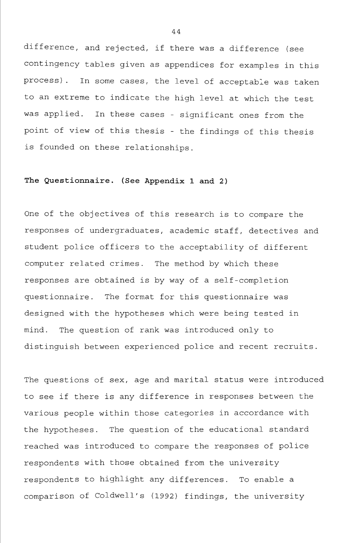difference, and rejected, if there was a difference (see contingency tables given as appendices for examples in this process). In some cases, the level of acceptable was taken to an extreme to indicate the high level at which the test was applied. In these cases - significant ones from the point of view of this thesis - the findings of this thesis is founded on these relationships.

# **The Questionnaire. (See Appendix 1 and 2)**

One of the objectives of this research is to compare the responses of undergraduates, academic staff, detectives and student police officers to the acceptability of different computer related crimes. The method by which these responses are obtained is by way of a self-completion questionnaire. The format for this questionnaire was designed with the hypotheses which were being tested in mind. The question of rank was introduced only to distinguish between experienced police and recent recruits.

The questions of sex, age and marital status were introduced to see if there is any difference in responses between the various people within those categories in accordance with the hypotheses. The question of the educational standard reached was introduced to compare the responses of police respondents with those obtained from the university respondents to highlight any differences. To enable a comparison of Coldwell's (1992) findings, the university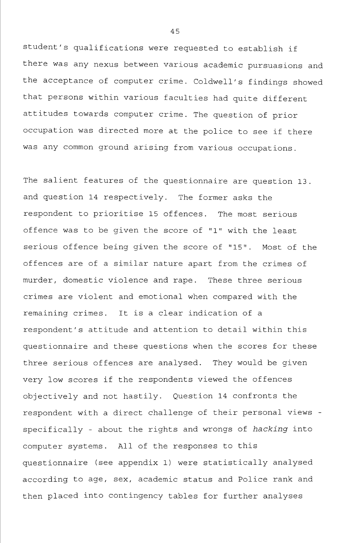student's qualifications were requested to establish if there was any nexus between various academic pursuasions and the acceptance of computer crime. Coldwell's findings showed that persons within various faculties had quite different attitudes towards computer crime. The question of prior occupation was directed more at the police to see if there was any common ground arising from various occupations.

The salient features of the questionnaire are question 13. and question 14 respectively. The former asks the respondent to prioritise 15 offences. The most serious offence was to be given the score of "1" with the least serious offence being given the score of "15". Most of the offences are of a similar nature apart from the crimes of murder, domestic violence and rape. These three serious crimes are violent and emotional when compared with the remaining crimes. It is a clear indication of a respondent's attitude and attention to detail within this questionnaire and these questions when the scores for these three serious offences are analysed. They would be given very low scores if the respondents viewed the offences objectively and not hastily. Question 14 confronts the respondent with a direct challenge of their personal views specifically - about the rights and wrongs of *hacking* into computer systems. All of the responses to this questionnaire (see appendix 1) were statistically analysed according to age, sex, academic status and Police rank and then placed into contingency tables for further analyses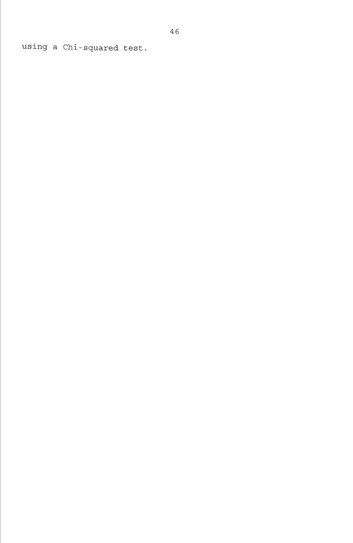using a Chi-squared test.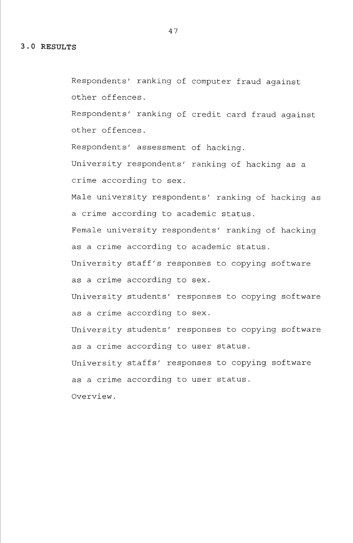Respondents' ranking of computer fraud against other offences.

Respondents' ranking of credit card fraud against other offences.

Respondents' assessment of hacking.

University respondents' ranking of hacking as a crime according to sex.

Male university respondents' ranking of hacking as a crime according to academic status.

Female university respondents' ranking of hacking as a crime according to academic status.

University staff's responses to copying software as a crime according to sex.

University students' responses to copying software as a crime according to sex.

University students' responses to copying software as a crime according to user status.

University staffs' responses to copying software as a crime according to user status.

Overview.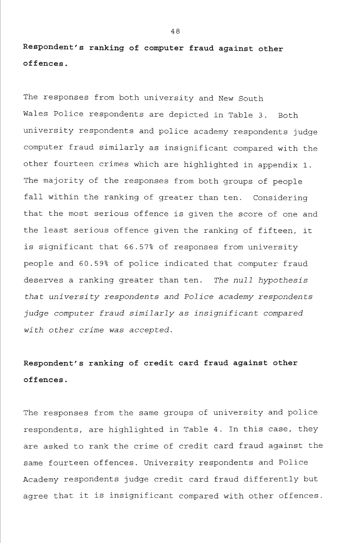**Respondent's ranking of computer fraud against other offences**.

The responses from both university and New South Wales Police respondents are depicted in Table 3. Both university respondents and police academy respondents judge computer fraud similarly as insignificant compared with the other fourteen crimes which are highlighted in appendix 1. The majority of the responses from both groups of people fall within the ranking of greater than ten. Considering that the most serious offence is given the score of one and the least serious offence given the ranking of fifteen, it is significant that 66.57% of responses from university people and 60.59% of police indicated that computer fraud deserves a ranking greater than ten. *The null hypothesis that university respondents and Police academy respondents judge computer fraud similarly as insignificant compared with other crime was accepted.* 

# **Respondent's ranking of credit card fraud against other offences.**

The responses from the same groups of university and police respondents, are highlighted in Table 4. In this case, they are asked to rank the crime of credit card fraud against the same fourteen offences. University respondents and Police Academy respondents judge credit card fraud differently but agree that it is insignificant compared with other offences.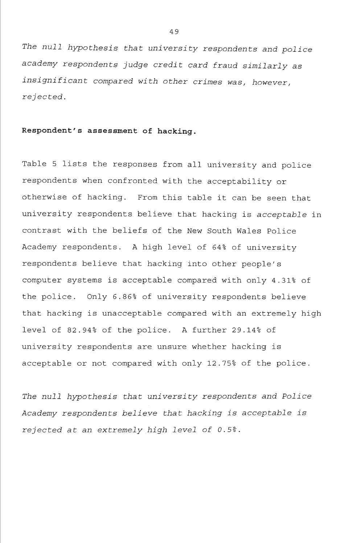*The null hypothesis that university respondents and police academy respondents judge credit card fraud similarly as insignificant compared with other crimes was, however, rejected.* 

# **Respondent's assessment of hacking.**

Table 5 lists the responses from all university and police respondents when confronted with the acceptability or otherwise of hacking. From this table it can be seen that university respondents believe that hacking is acceptable in contrast with the beliefs of the New South Wales Police Academy respondents. A high level of 64% of university respondents believe that hacking into other people's computer systems is acceptable compared with only 4.31% of the police. Only 6.86% of university respondents believe that hacking is unacceptable compared with an extremely high level of 82.94% of the police. A further 29.14% of university respondents are unsure whether hacking is acceptable or not compared with only 12.75% of the police.

*The null hypothesis that university respondents and Police Academy respondents believe that hacking is acceptable is rejected at an extremely high level of 0.5%.*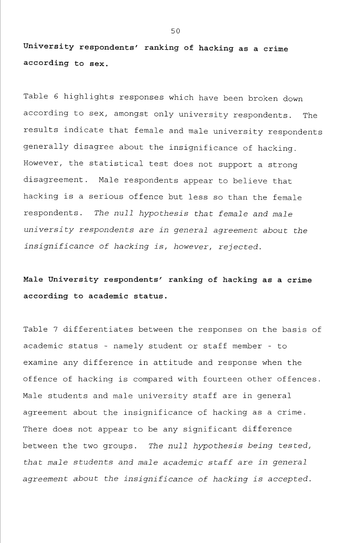**University respondents' ranking of hacking as a crime according to sex.** 

Table 6 highlights responses which have been broken down according to sex, amongst only university respondents. The results indicate that female and male university respondents generally disagree about the insignificance of hacking. However, the statistical test does not support a strong disagreement. Male respondents appear to believe that hacking is a serious offence but less so than the female respondents. *The null hypothesis that female and male university respondents are in general agreement about the insignificance of hacking is, however, rejected.* 

**Male University respondents' ranking of hacking as a crime according to academic status.** 

Table 7 differentiates between the responses on the basis of academic status - namely student or staff member - to examine any difference in attitude and response when the offence of hacking is compared with fourteen other offences. Male students and male university staff are in general agreement about the insignificance of hacking as a crime. There does not appear to be any significant difference between the two groups. *The null hypothesis being tested, that male students and male academic staff are in general agreement about the insignificance of hacking is accepted.*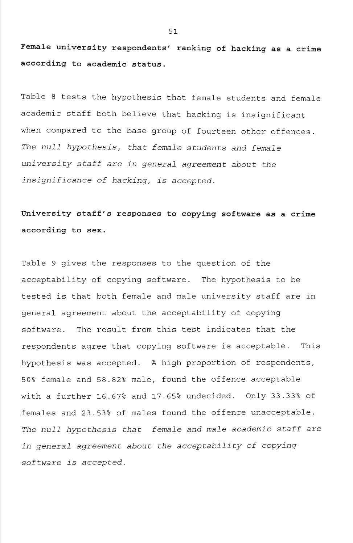**Female university respondents' ranking of hacking as a crime according to academic status.** 

Table 8 tests the hypothesis that female students and female academic staff both believe that hacking is insignificant when compared to the base group of fourteen other offences. *The null hypothesis, that female students and female university staff are in general agreement about the insignificance of hacking, is accepted.* 

**University staff's responses to copying software as a crime according to sex.** 

Table 9 gives the responses to the question of the acceptability of copying software. The hypothesis to be tested is that both female and male university staff are in general agreement about the acceptability of copying software. The result from this test indicates that the respondents agree that copying software is acceptable. This hypothesis was accepted. A high proportion of respondents, 50% female and 58.82% male, found the offence acceptable with a further 16.67% and 17.65% undecided. Only 33.33% of females and 23.53% of males found the offence unacceptable. *The null hypothesis that female and male academic staff are in general agreement about the acceptability of copying software is accepted.*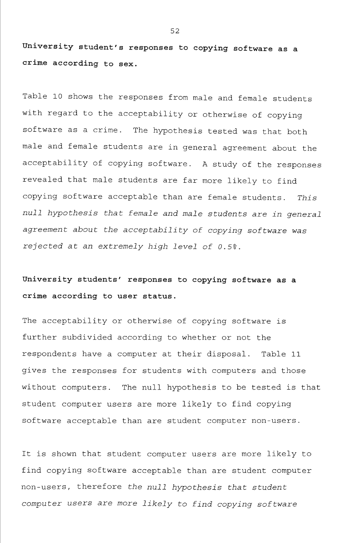**University student's responses to copying software as a crime according to sex.** 

Table 10 shows the responses from male and female students with regard to the acceptability or otherwise of copying software as a crime. The hypothesis tested was that both male and female students are in general agreement about the acceptability of copying software. A study of the responses revealed that male students are far more likely to find copying software acceptable than are female students. *This null hypothesis that female and male students are in general agreement about the acceptability of copying software was rejected at an extremely high level of 0.5%.* 

# **University students' responses to copying software as a crime according to user status.**

The acceptability or otherwise of copying software is further subdivided according to whether or not the respondents have a computer at their disposal. Table 11 gives the responses for students with computers and those without computers. The null hypothesis to be tested is that student computer users are more likely to find copying software acceptable than are student computer non-users.

It is shown that student computer users are more likely to find copying software acceptable than are student computer non-users, therefore the *null hypothesis that student computer users are more likely to find copying software*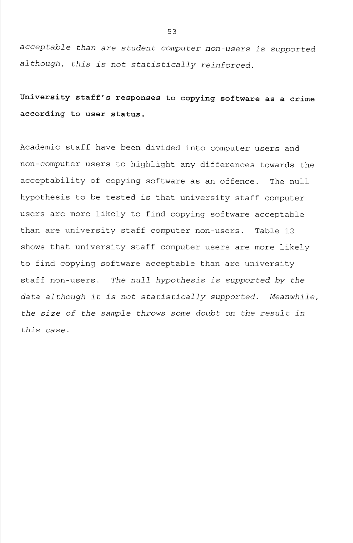*acceptable than are student computer non-users is supported although, this is not statistically reinforced.* 

**University staff's responses to copying software as a crime according to user status.** 

Academic staff have been divided into computer users and non-computer users to highlight any differences towards the acceptability of copying software as an offence. The null hypothesis to be tested is that university staff computer users are more likely to find copying software acceptable than are university staff computer non-users. Table 12 shows that university staff computer users are more likely to find copying software acceptable than are university staff non-users. *The null hypothesis is supported by the data although it is not statistically supported. Meanwhile, the size of the sample throws some doubt on the result in this case.*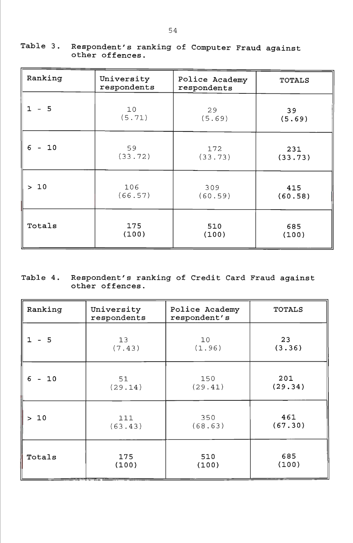| Ranking                             | University<br>respondents | Police Academy<br>respondents | <b>TOTALS</b>  |
|-------------------------------------|---------------------------|-------------------------------|----------------|
| $1 - 5$                             | 10                        | 29                            | 39             |
|                                     | (5.71)                    | (5.69)                        | (5.69)         |
| 6<br>10<br>$\overline{\phantom{a}}$ | 59<br>(33.72)             | 172<br>(33.73)                | 231<br>(33.73) |
| >10                                 | 106                       | 309                           | 415            |
|                                     | (66.57)                   | (60.59)                       | (60.58)        |
| Totals                              | 175                       | 510                           | 685            |
|                                     | (100)                     | (100)                         | (100)          |

# Table 3. Respondent's ranking of Computer Fraud against other offences.

# Table 4. Respondent's ranking of Credit Card Fraud against other offences.

| Ranking | University<br>respondents | Police Academy<br>respondent's | <b>TOTALS</b> |
|---------|---------------------------|--------------------------------|---------------|
| $-5$    | 13                        | 10 <sub>o</sub>                | 23            |
| 1.      | (7.43)                    | (1.96)                         | (3.36)        |
| 6       | 51                        | 150                            | 201           |
| $-10$   | (29.14)                   | (29.41)                        | (29.34)       |
| 10      | 111                       | 350                            | 461           |
| $\geq$  | (63.43)                   | (68.63)                        | (67.30)       |
| Totals  | 175                       | 510                            | 685           |
|         | (100)                     | (100)                          | (100)         |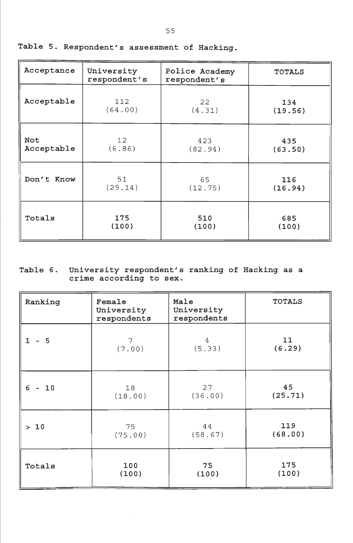| Acceptance | University<br>respondent's | Police Academy<br>respondent's | <b>TOTALS</b> |
|------------|----------------------------|--------------------------------|---------------|
| Acceptable | 112                        | 22                             | 134           |
|            | (64.00)                    | (4.31)                         | (19.56)       |
| Not        | 12                         | 423                            | 435           |
| Acceptable | (6.86)                     | (82.94)                        | (63.50)       |
| Don't Know | 51                         | 65                             | 116           |
|            | (29.14)                    | (12.75)                        | (16.94)       |
| Totals     | 175                        | 510                            | 685           |
|            | (100)                      | (100)                          | (100)         |

Table 5. Respondent's assessment of Hacking,

# Table 6. University respondent's ranking of Hacking as a crime according to sex.

| Ranking                   | Female<br>University<br>respondents | Male<br>University<br>respondents | <b>TOTALS</b> |
|---------------------------|-------------------------------------|-----------------------------------|---------------|
| $1 - 5$                   | 7                                   | 4                                 | 11            |
|                           | (7.00)                              | (5.33)                            | (6.29)        |
| 6<br>10<br>$\blacksquare$ | 18<br>(18.00)                       | 27<br>(36.00)                     | 45<br>(25.71) |
| >10                       | 75                                  | 44                                | 119           |
|                           | (75.00)                             | (58.67)                           | (68.00)       |
| Totals                    | 100                                 | 75                                | 175           |
|                           | (100)                               | (100)                             | (100)         |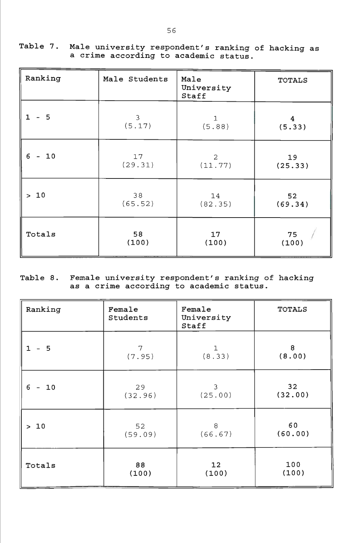| Table 7. Male university respondent's ranking of hacking as |
|-------------------------------------------------------------|
| a crime according to academic status.                       |

| Ranking      | Male Students | Male<br>University<br>Staff | <b>TOTALS</b>           |
|--------------|---------------|-----------------------------|-------------------------|
| $-5$         | 3             | $\mathbf 1$                 | $\overline{\mathbf{4}}$ |
| $\mathbf{1}$ | (5.17)        | (5.88)                      | (5.33)                  |
| 6            | 17            | $\overline{2}$              | 19                      |
| $-10$        | (29.31)       | (11.77)                     | (25.33)                 |
| 10           | 38            | 14                          | 52                      |
| $\geq$       | (65.52)       | (82.35)                     | (69.34)                 |
| Totals       | 58            | 17                          | 75                      |
|              | (100)         | (100)                       | (100)                   |

# Table 8. Female university respondent's ranking of hacking as a crime according to academic status.

| Ranking | Female<br>Students | Female<br>University<br>Staff | <b>TOTALS</b> |
|---------|--------------------|-------------------------------|---------------|
| $-5$    | $\overline{7}$     | 1                             | 8             |
| 1.      | (7.95)             | (8.33)                        | (8.00)        |
| 6       | 29                 | 3                             | 32            |
| 10      | (32.96)            | (25.00)                       | (32.00)       |
| $>10$   | 52                 | 8                             | 60            |
|         | (59.09)            | (66.67)                       | (60.00)       |
| Totals  | 88                 | 12                            | 100           |
|         | (100)              | (100)                         | (100)         |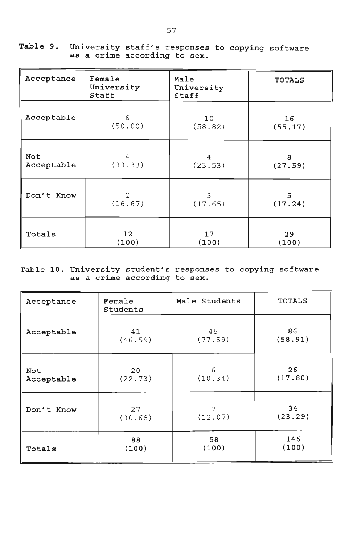| Acceptance | Female<br>University<br>Staff | Male<br>University<br>Staff | <b>TOTALS</b> |
|------------|-------------------------------|-----------------------------|---------------|
| Acceptable | 6                             | 10                          | 16            |
|            | (50.00)                       | (58.82)                     | (55.17)       |
| Not        | 4                             | 4                           | 8             |
| Acceptable | (33.33)                       | (23.53)                     | (27.59)       |
| Don't Know | 2                             | 3                           | 5             |
|            | (16.67)                       | (17.65)                     | (17.24)       |
| Totals     | 12                            | 17                          | 29            |
|            | (100)                         | (100)                       | (100)         |

Table 9. University staff's responses to copying software as a crime according to sex.

# Table 10. University student's responses to copying software as a crime according to sex.

| Acceptance | Female<br>Students | Male Students | <b>TOTALS</b> |
|------------|--------------------|---------------|---------------|
| Acceptable | 41                 | 45            | 86            |
|            | (46.59)            | (77.59)       | (58.91)       |
| Not        | 20                 | 6             | 26            |
| Acceptable | (22.73)            | (10.34)       | (17.80)       |
| Don't Know | 27                 | 7             | 34            |
|            | (30.68)            | (12.07)       | (23.29)       |
| Totals     | 88                 | 58            | 146           |
|            | (100)              | (100)         | (100)         |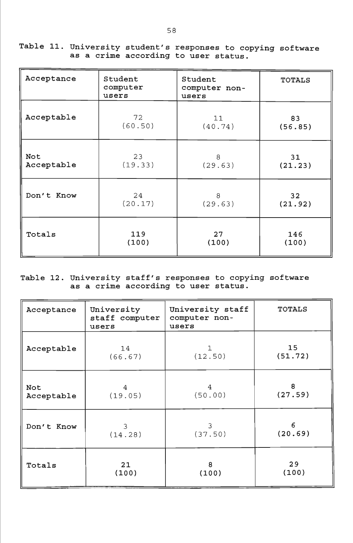Table 11. University student's responses to copying software as a crime according to user status.

| Acceptance | Student<br>computer<br>users | Student<br>computer non-<br>users | <b>TOTALS</b> |
|------------|------------------------------|-----------------------------------|---------------|
| Acceptable | 72                           | 11                                | 83            |
|            | (60.50)                      | (40.74)                           | (56.85)       |
| Not        | 23                           | 8                                 | 31            |
| Acceptable | (19.33)                      | (29.63)                           | (21.23)       |
| Don't Know | 24                           | 8                                 | 32            |
|            | (20.17)                      | (29.63)                           | (21.92)       |
| Totals     | 119                          | 27                                | 146           |
|            | (100)                        | (100)                             | (100)         |

Table 12. University staff's responses to copying software as a crime according to user status.

| Acceptance | University<br>staff computer<br>users | University staff<br>computer non-<br>users | <b>TOTALS</b>   |
|------------|---------------------------------------|--------------------------------------------|-----------------|
| Acceptable | 14                                    | 1.                                         | 15 <sub>1</sub> |
|            | (66.67)                               | (12.50)                                    | (51.72)         |
| Not        | 4                                     | 4                                          | 8               |
| Acceptable | (19.05)                               | (50.00)                                    | (27.59)         |
| Don't Know | 3                                     | 3                                          | 6               |
|            | (14.28)                               | (37.50)                                    | (20.69)         |
| Totals     | 21                                    | 8                                          | 29              |
|            | (100)                                 | (100)                                      | (100)           |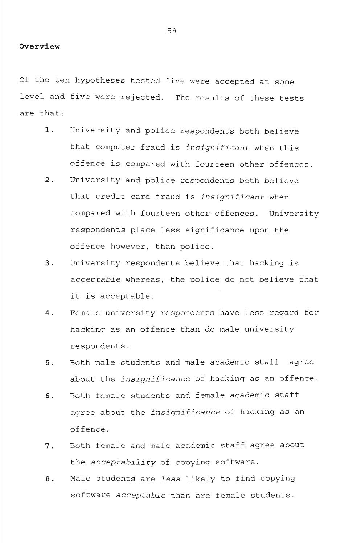#### **Overview**

Of the ten hypotheses tested five were accepted at some level and five were rejected. The results of these tests are that:

- 1. University and police respondents both believe that computer fraud is *insignificant* when this offence is compared with fourteen other offences.
- 2. University and police respondents both believe that credit card fraud is *insignificant* when compared with fourteen other offences. University respondents place less significance upon the offence however, than police.
- 3. University respondents believe that hacking is acceptable whereas, the police do not believe that it is acceptable.
- 4. Female university respondents have less regard for hacking as an offence than do male university respondents.
- 5. Both male students and male academic staff agree about the *insignificance* of hacking as an offence.
- 6. Both female students and female academic staff agree about the *insignificance* of hacking as an offence.
- 7. Both female and male academic staff agree about the *acceptability* of copying software.
- 8. Male students are *less* likely to find copying software acceptable than are female students.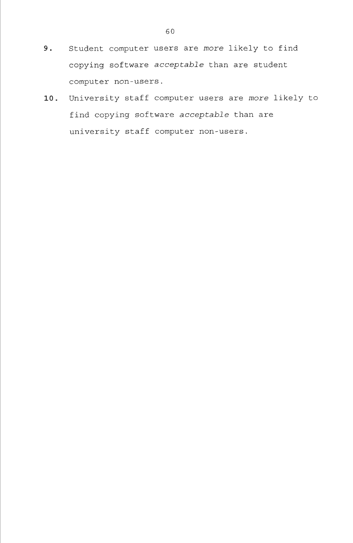- 9. Student computer users are *more* likely to find copying software acceptable than are student computer non-users.
- 10. University staff computer users are *more* likely to find copying software acceptable than are university staff computer non-users.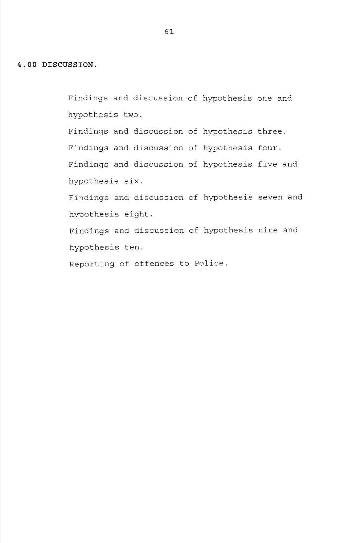Findings and discussion of hypothesis one and hypothesis two.

Findings and discussion of hypothesis three. Findings and discussion of hypothesis four. Findings and discussion of hypothesis five and hypothesis six.

Findings and discussion of hypothesis seven and hypothesis eight.

Findings and discussion of hypothesis nine and hypothesis ten.

Reporting of offences to Police.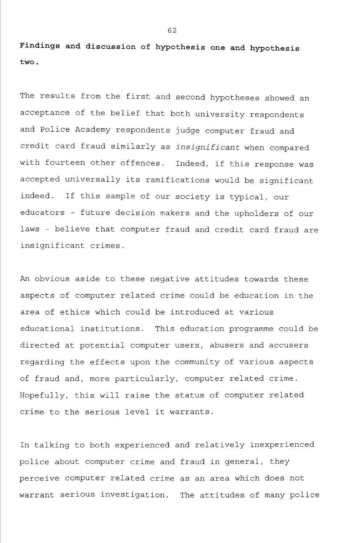**Findings and discussion of hypothesis one and hypothesis two.** 

The results from the first and second hypotheses showed an acceptance of the belief that both university respondents and Police Academy respondents judge computer fraud and credit card fraud similarly as *insignificant* when compared with fourteen other offences. Indeed, if this response was accepted universally its ramifications would be significant indeed. If this sample of our society is typical, our educators - future decision makers and the upholders of our laws - believe that computer fraud and credit card fraud are insignificant crimes.

An obvious aside to these negative attitudes towards these aspects of computer related crime could be education in the area of ethics which could be introduced at various educational institutions. This education programme could be directed at potential computer users, abusers and accusers regarding the effects upon the community of various aspects of fraud and, more particularly, computer related crime. Hopefully, this will raise the status of computer related crime to the serious level it warrants.

In talking to both experienced and relatively inexperienced police about computer crime and fraud in general, they perceive computer related crime as an area which does not warrant serious investigation. The attitudes of many police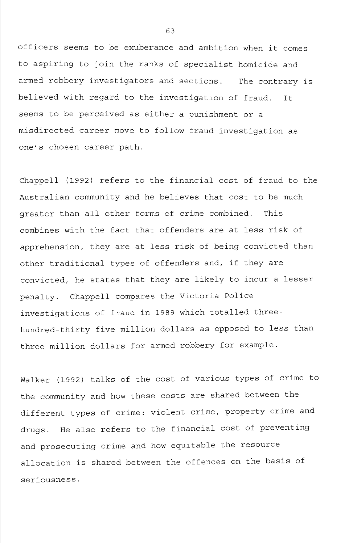officers seems to be exuberance and ambition when it comes to aspiring to join the ranks of specialist homicide and armed robbery investigators and sections. The contrary is believed with regard to the investigation of fraud. It seems to be perceived as either a punishment or a misdirected career move to follow fraud investigation as one's chosen career path.

Chappell (1992) refers to the financial cost of fraud to the Australian community and he believes that cost to be much greater than all other forms of crime combined. This combines with the fact that offenders are at less risk of apprehension, they are at less risk of being convicted than other traditional types of offenders and, if they are convicted, he states that they are likely to incur a lesser penalty. Chappell compares the Victoria Police investigations of fraud in 1989 which totalled threehundred- thirty- five million dollars as opposed to less than three million dollars for armed robbery for example.

Walker (1992) talks of the cost of various types of crime to the community and how these costs are shared between the different types of crime: violent crime, property crime and drugs. He also refers to the financial cost of preventing and prosecuting crime and how equitable the resource allocation is shared between the offences on the basis of seriousness.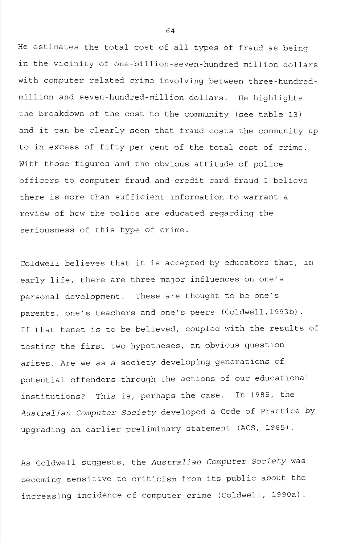He estimates the total cost of all types of fraud as being in the vicinity of one-billion-seven-hundred million dollars with computer related crime involving between three-hundredmillion and seven-hundred-million dollars. He highlights the breakdown of the cost to the community (see table 13) and it can be clearly seen that fraud costs the community up to in excess of fifty per cent of the total cost of crime. With those figures and the obvious attitude of police officers to computer fraud and credit card fraud I believe there is more than sufficient information to warrant a review of how the police are educated regarding the seriousness of this type of crime.

Coldwell believes that it is accepted by educators that, in early life, there are three major influences on one's personal development. These are thought to be one's parents, one's teachers and one's peers (Coldwell,1993b). If that tenet is to be believed, coupled with the results of testing the first two hypotheses, an obvious question arises. Are we as a society developing generations of potential offenders through the actions of our educational institutions? This is, perhaps the case. In 1985, the *Australian Computer Society* developed a Code of Practice by upgrading an earlier preliminary statement (ACS, 1985).

As Coldwell suggests, the *Australian Computer Society* was becoming sensitive to criticism from its public about the increasing incidence of computer crime (Coldwell, 1990a).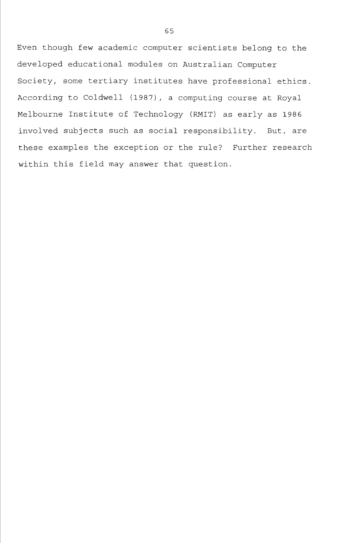Even though few academic computer scientists belong to the developed educational modules on Australian Computer Society, some tertiary institutes have professional ethics. According to Coldwell (1987), a computing course at Royal Melbourne Institute of Technology (RMIT) as early as 1986 involved subjects such as social responsibility. But, are these examples the exception or the rule? Further research within this field may answer that question.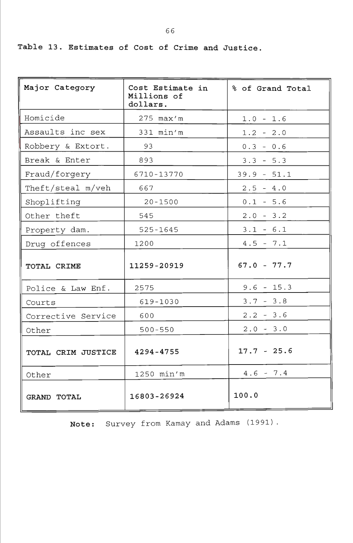Table 13. Estimates of Cost of Crime and Justice.

| Major Category     | Cost Estimate in<br>Millions of<br>dollars. | % of Grand Total |  |
|--------------------|---------------------------------------------|------------------|--|
| Homicide           | 275 max'm                                   | $1.0 - 1.6$      |  |
| Assaults inc sex   | $331$ $min'm$                               | $1.2 - 2.0$      |  |
| Robbery & Extort.  | 93                                          | $0.3 - 0.6$      |  |
| Break & Enter      | 893                                         | $3.3 - 5.3$      |  |
| Fraud/forgery      | 6710-13770                                  | $39.9 - 51.1$    |  |
| Theft/steal m/veh  | 667                                         | $2.5 - 4.0$      |  |
| Shoplifting        | $20 - 1500$                                 | $0.1 - 5.6$      |  |
| Other theft        | 545                                         | $2.0 - 3.2$      |  |
| Property dam.      | $525 - 1645$                                | $3.1 - 6.1$      |  |
| Drug offences      | 1200                                        | $4.5 - 7.1$      |  |
| TOTAL CRIME        | 11259-20919                                 | $67.0 - 77.7$    |  |
| Police & Law Enf.  | 2575                                        | $9.6 - 15.3$     |  |
| Courts             | 619-1030                                    | $3.7 - 3.8$      |  |
| Corrective Service | 600                                         | $2.2 - 3.6$      |  |
| Other              | $500 - 550$                                 | $2.0 - 3.0$      |  |
| TOTAL CRIM JUSTICE | 4294-4755                                   | $17.7 - 25.6$    |  |
| Other              | 1250 min'm                                  | $4.6 - 7.4$      |  |
| <b>GRAND TOTAL</b> | 16803-26924                                 | 100.0            |  |

Note: Survey from Kamay and Adams (1991).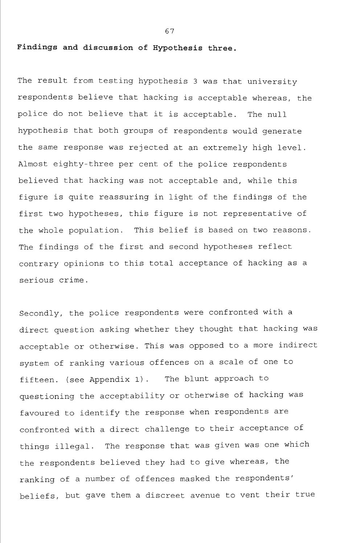**Findings and discussion of Hypothesis three.** 

The result from testing hypothesis 3 was that university respondents believe that hacking is acceptable whereas, the police do not believe that it is acceptable. The null hypothesis that both groups of respondents would generate the same response was rejected at an extremely high level. Almost eighty-three per cent of the police respondents believed that hacking was not acceptable and, while this figure is quite reassuring in light of the findings of the first two hypotheses, this figure is not representative of the whole population. This belief is based on two reasons. The findings of the first and second hypotheses reflect contrary opinions to this total acceptance of hacking as a serious crime.

Secondly, the police respondents were confronted with a direct question asking whether they thought that hacking was acceptable or otherwise. This was opposed to a more indirect system of ranking various offences on a scale of one to fifteen, (see Appendix 1). The blunt approach to questioning the acceptability or otherwise of hacking was favoured to identify the response when respondents are confronted with a direct challenge to their acceptance of things illegal. The response that was given was one which the respondents believed they had to give whereas, the ranking of a number of offences masked the respondents' beliefs, but gave them a discreet avenue to vent their true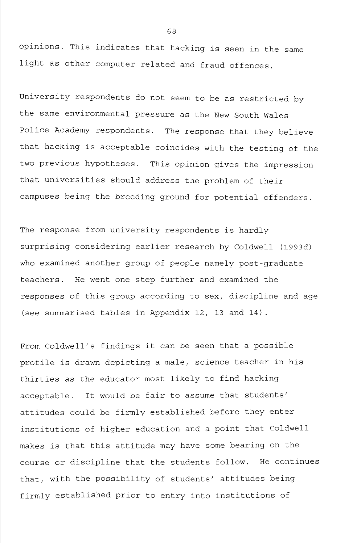opinions. This indicates that hacking is seen in the same light as other computer related and fraud offences.

University respondents do not seem to be as restricted by the same environmental pressure as the New South Wales Police Academy respondents. The response that they believe that hacking is acceptable coincides with the testing of the two previous hypotheses. This opinion gives the impression that universities should address the problem of their campuses being the breeding ground for potential offenders.

The response from university respondents is hardly surprising considering earlier research by Coldwell (1993d) who examined another group of people namely post-graduate teachers. He went one step further and examined the responses of this group according to sex, discipline and age (see summarised tables in Appendix 12, 13 and 14) .

From Coldwell's findings it can be seen that a possible profile is drawn depicting a male, science teacher in his thirties as the educator most likely to find hacking acceptable. It would be fair to assume that students' attitudes could be firmly established before they enter institutions of higher education and a point that Coldwell makes is that this attitude may have some bearing on the course or discipline that the students follow. He continues that, with the possibility of students' attitudes being firmly established prior to entry into institutions of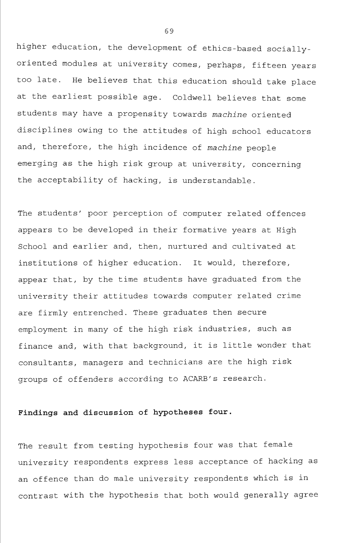higher education, the development of ethics-based sociallyoriented modules at university comes, perhaps, fifteen years too late. He believes that this education should take place at the earliest possible age. Coldwell believes that some students may have a propensity towards *machine* oriented disciplines owing to the attitudes of high school educators and, therefore, the high incidence of *machine* people emerging as the high risk group at university, concerning the acceptability of hacking, is understandable.

The students' poor perception of computer related offences appears to be developed in their formative years at High School and earlier and, then, nurtured and cultivated at institutions of higher education. It would, therefore, appear that, by the time students have graduated from the university their attitudes towards computer related crime are firmly entrenched. These graduates then secure employment in many of the high risk industries, such as finance and, with that background, it is little wonder that consultants, managers and technicians are the high risk groups of offenders according to ACARB's research.

# **Findings and discussion of hypotheses four.**

The result from testing hypothesis four was that female university respondents express less acceptance of hacking as an offence than do male university respondents which is in contrast with the hypothesis that both would generally agree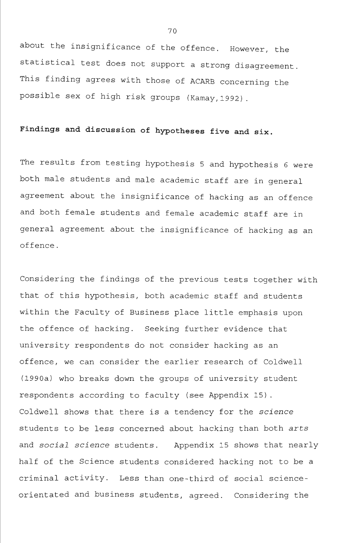about the insignificance of the offence. However, the statistical test does not support a strong disagreement. This finding agrees with those of ACARB concerning the possible sex of high risk groups (Kamay,1992).

# **Findings and discussion of hypotheses five and six.**

The results from testing hypothesis 5 and hypothesis 6 were both male students and male academic staff are in general agreement about the insignificance of hacking as an offence and both female students and female academic staff are in general agreement about the insignificance of hacking as an offence.

Considering the findings of the previous tests together with that of this hypothesis, both academic staff and students within the Faculty of Business place little emphasis upon the offence of hacking. Seeking further evidence that university respondents do not consider hacking as an offence, we can consider the earlier research of Coldwell (1990a) who breaks down the groups of university student respondents according to faculty (see Appendix 15). Coldwell shows that there is a tendency for the *science*  students to be less concerned about hacking than both *arts*  and *social science* students. Appendix 15 shows that nearly half of the Science students considered hacking not to be a criminal activity. Less than one-third of social scienceorientated and business students, agreed. Considering the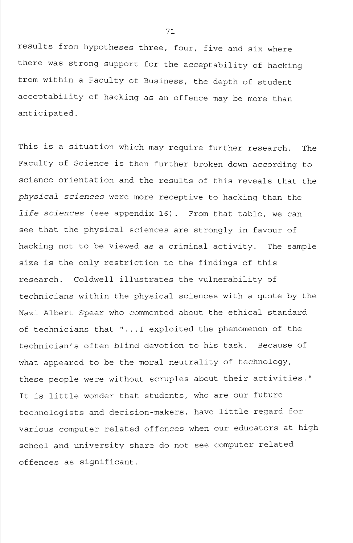results from hypotheses three, four, five and six where there was strong support for the acceptability of hacking from within a Faculty of Business, the depth of student acceptability of hacking as an offence may be more than anticipated.

This is a situation which may require further research. The Faculty of Science is then further broken down according to science-orientation and the results of this reveals that the *physical sciences* were more receptive to hacking than the *life sciences* (see appendix 16). From that table, we can see that the physical sciences are strongly in favour of hacking not to be viewed as a criminal activity. The sample size is the only restriction to the findings of this research. Coldwell illustrates the vulnerability of technicians within the physical sciences with a quote by the Nazi Albert Speer who commented about the ethical standard of technicians that "...I exploited the phenomenon of the technician's often blind devotion to his task. Because of what appeared to be the moral neutrality of technology, these people were without scruples about their activities." It is little wonder that students, who are our future technologists and decision-makers, have little regard for various computer related offences when our educators at high school and university share do not see computer related offences as significant.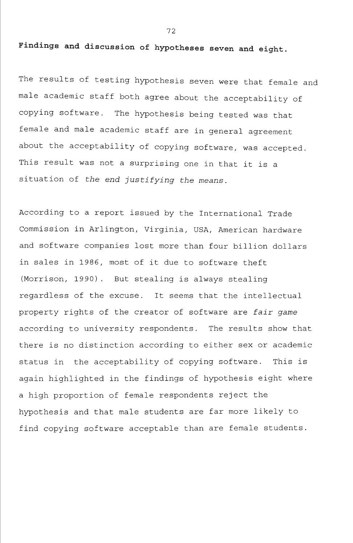**Findings and discussion of hypotheses seven and eight.** 

The results of testing hypothesis seven were that female and male academic staff both agree about the acceptability of copying software. The hypothesis being tested was that female and male academic staff are in general agreement about the acceptability of copying software, was accepted. This result was not a surprising one in that it is a situation of the *end justifying the means.* 

According to a report issued by the International Trade Commission in Arlington, Virginia, USA, American hardware and software companies lost more than four billion dollars in sales in 1986, most of it due to software theft (Morrison, 1990) . But stealing is always stealing regardless of the excuse. It seems that the intellectual property rights of the creator of software are *fair game*  according to university respondents. The results show that there is no distinction according to either sex or academic status in the acceptability of copying software. This is again highlighted in the findings of hypothesis eight where a high proportion of female respondents reject the hypothesis and that male students are far more likely to find copying software acceptable than are female students.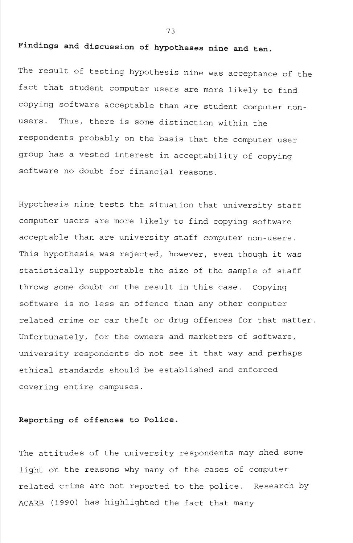# **Findings and discussion of hypotheses nine and ten.**

The result of testing hypothesis nine was acceptance of the fact that student computer users are more likely to find copying software acceptable than are student computer nonusers. Thus, there is some distinction within the respondents probably on the basis that the computer user group has a vested interest in acceptability of copying software no doubt for financial reasons.

Hypothesis nine tests the situation that university staff computer users are more likely to find copying software acceptable than are university staff computer non-users. This hypothesis was rejected, however, even though it was statistically supportable the size of the sample of staff throws some doubt on the result in this case. Copying software is no less an offence than any other computer related crime or car theft or drug offences for that matter. Unfortunately, for the owners and marketers of software, university respondents do not see it that way and perhaps ethical standards should be established and enforced covering entire campuses.

#### **Reporting of offences to Police.**

The attitudes of the university respondents may shed some light on the reasons why many of the cases of computer related crime are not reported to the police. Research by ACARB (1990) has highlighted the fact that many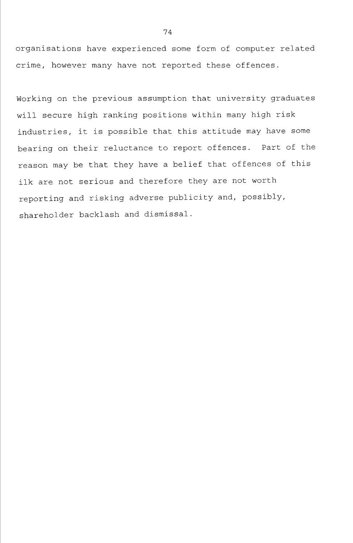organisations have experienced some form of computer related crime, however many have not reported these offences.

Working on the previous assumption that university graduates will secure high ranking positions within many high risk industries, it is possible that this attitude may have some bearing on their reluctance to report offences. Part of the reason may be that they have a belief that offences of this ilk are not serious and therefore they are not worth reporting and risking adverse publicity and, possibly, shareholder backlash and dismissal.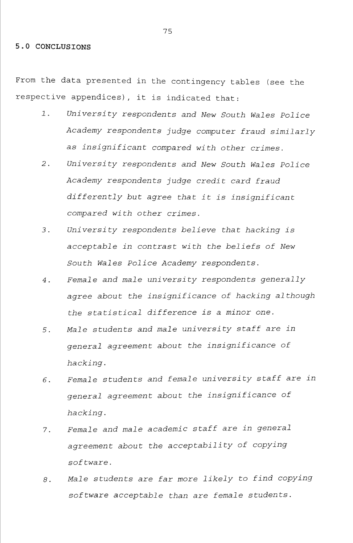#### 5.0 CONCLUSIONS

From the data presented in the contingency tables (see the respective appendices), it is indicated that:

- 1. *University respondents and New South Wales Police Academy respondents judge computer fraud similarly as insignificant compared with other crimes.*
- *2. University respondents and New South Wales Police Academy respondents judge credit card fraud differently but agree that it is insignificant compared with other crimes.*
- *3. University respondents believe that hacking is acceptable in contrast with the beliefs of New South Wales Police Academy respondents.*
- *4. Female and male university respondents generally agree about the insignificance of hacking although the statistical difference is a minor one.*
- *5. Male students and male university staff are in general agreement about the insignificance of hacking.*
- *6. Female students and female university staff are in general agreement about the insignificance of hacking.*
- 7. *Female and male academic staff are in general agreement about the acceptability of copying software.*
- *8. Male students are far more likely to find copying software acceptable than are female students.*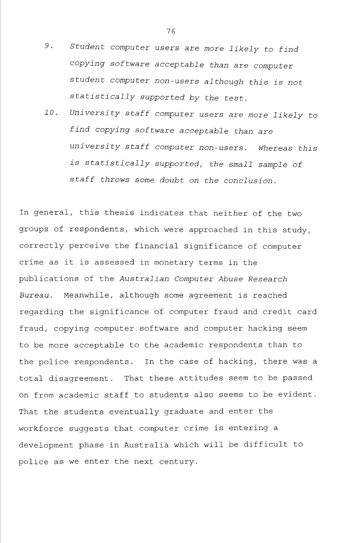- *9. Student computer users are more likely to find copying software acceptable than are computer student computer non-users although this is not statistically supported by the test.*
- *10. University staff computer users are more likely to find copying software acceptable than are university staff computer non-users. Whereas this is statistically supported, the small sample of staff throws some doubt on the conclusion.*

In general, this thesis indicates that neither of the two groups of respondents, which were approached in this study, correctly perceive the financial significance of computer crime as it is assessed in monetary terms in the publications of the *Australian Computer Abuse Research Bureau.* Meanwhile, although some agreement is reached regarding the significance of computer fraud and credit card fraud, copying computer software and computer hacking seem to be more acceptable to the academic respondents than to the police respondents. In the case of hacking, there was a total disagreement. That these attitudes seem to be passed on from academic staff to students also seems to be evident. That the students eventually graduate and enter the workforce suggests that computer crime is entering a development phase in Australia which will be difficult to police as we enter the next century.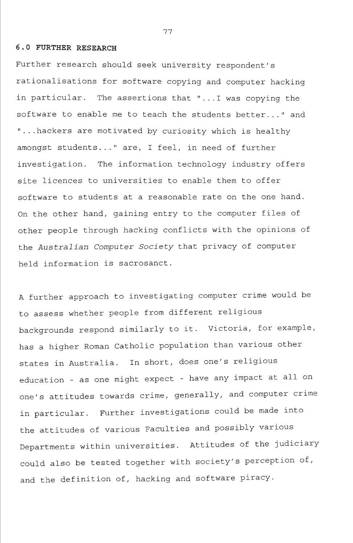#### **6.0 FURTHER RESEARCH**

Further research should seek university respondent's rationalisations for software copying and computer hacking in particular. The assertions that "...I was copying the software to enable me to teach the students better..." and "...hackers are motivated by curiosity which is healthy amongst students..." are, I feel, in need of further investigation. The information technology industry offers site licences to universities to enable them to offer software to students at a reasonable rate on the one hand. On the other hand, gaining entry to the computer files of other people through hacking conflicts with the opinions of the *Australian Computer Society* that privacy of computer held information is sacrosanct.

A further approach to investigating computer crime would be to assess whether people from different religious backgrounds respond similarly to it. Victoria, for example, has a higher Roman Catholic population than various other states in Australia. In short, does one's religious education - as one might expect - have any impact at all on one's attitudes towards crime, generally, and computer crime in particular. Further investigations could be made into the attitudes of various Faculties and possibly various Departments within universities. Attitudes of the judiciary could also be tested together with society's perception of, and the definition of, hacking and software piracy.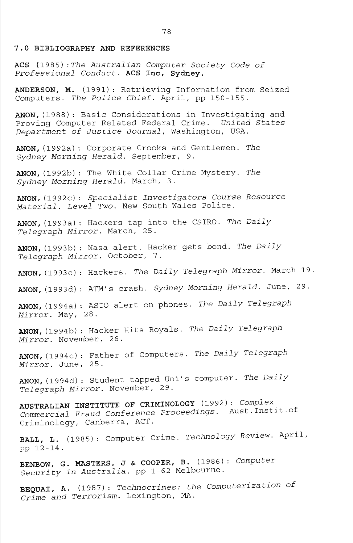#### **7.0 BIBLIOGRAPHY AND REFERENCES**

**ACS** (1985) *-.The Australian Computer Society Code of Professional Conduct.* **ACS Inc, Sydney.** 

**ANDERSON, M.** (1991) : Retrieving Information from Seized Computers. *The Police Chief.* April, pp 150-155.

**ANON,** (1988) : Basic Considerations in Investigating and Proving Computer Related Federal Crime. *United States Department of Justice Journal,* Washington, USA.

**ANON,**(1992a): Corporate Crooks and Gentlemen. *The Sydney Morning Herald.* September, 9.

**ANON,**(1992b): The White Collar Crime Mystery. *The Sydney Morning Herald.* March, 3.

**ANON,** (19 92c) : *Specialist Investigators Course Resource Material. Level Two.* New South Wales Police.

**ANON,**(1993a): Hackers tap into the CSIRO. *The Daily Telegraph Mirror.* March, 25.

**ANON,**(1993b): Nasa alert. Hacker gets bond. *The Daily Telegraph Mirror.* October, 7.

**ANON,** (1993c) : Hackers. *The Daily Telegraph Mirror.* March 19

**ANON,**(1993d): ATM's crash. *Sydney Morning Herald.* June, 29.

**ANON,**(1994a): ASIO alert on phones. *The Daily Telegraph Mirror.* May, 28.

**ANON,**(1994b): Hacker Hits Royals. *The Daily Telegraph Mirror.* November, 26.

**ANON,** (1994c) : Father of Computers. *The Daily Telegraph Mirror.* June, 25.

**ANON,** (1994d) : Student tapped Uni's computer. *The Daily Telegraph Mirror.* November, 29.

**AUSTRALIAN INSTITUTE OF CRIMINOLOGY** (1992): *Complex Commercial Fraud Conference Proceedings.* Aust.Instit.of Criminology, Canberra, ACT.

**BALL, L.** (1985): Computer Crime. *Technology Review.* April, pp 12-14.

**BENBOW,** G. **MASTERS,** J & **COOPER,** B. (1986) : *Computer Security in Australia,* pp 1-62 Melbourne.

**BEQUAI, A.** (1987) : *Technocrimes: the Computerization of Crime and Terrorism.* Lexington, MA.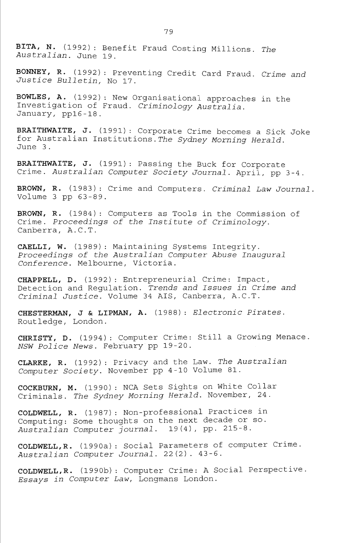**BITA, N.** (1992) : Benefit Fraud Costing Millions. *The Australian.* June 19.

**BONNEY, R.** (1992) : Preventing Credit Card Fraud. *Crime and Justice Bulletin,* No 17.

BOWLES, A. (1992): New Organisational approaches in the Investigation of Fraud. *Criminology Australia.*  January, ppl6 -18.

**BRAITHWAITE, J.** (1991): Corporate Crime becomes a Sick Joke for Australian Institutions.The *Sydney Morning Herald.*  June 3.

**BRAITHWAITE, J.** (1991) : Passing the Buck for Corporate Crime. *Australian Computer Society Journal.* April, pp 3-4.

**BROWN, R.** (1983): Crime and Computers. *Criminal Law Journal*  Volume 3 pp 63-89.

**BROWN, R.** (1984) : Computers as Tools in the Commission of Crime. *Proceedings of the Institute of Criminology.*  Canberra, A.C.T.

**CAELLI, W.** (1989) : Maintaining Systems Integrity. *Proceedings of the Australian Computer Abuse Inaugural Conference.* Melbourne, Victoria.

**CHAPPELL, D.** (1992) : Entrepreneurial Crime: Impact, Detection and Regulation. *Trends and Issues in Crime and Criminal Justice.* Volume 34 AIS, Canberra, A.C.T.

**CHESTERMAN, J & LIPMAN, A.** (1988): *Electronic Pirates.*  Routledge, London.

**CHRISTY, D.** (1994) : Computer Crime: Still a Growing Menace. *NSW Police News.* February pp 19-20.

**CLARKE,** R. (1992) : Privacy and the Law. *The Australian Computer Society.* November pp 4-10 Volume 81.

**COCKBURN,** M. (1990): NCA Sets Sights on White Collar Criminals. *The Sydney Morning Herald.* November, 24.

**COLDWELL, R.** (1987) : Non-professional Practices in Computing: Some thoughts on the next decade or so. *Australian Computer journal.* 19(4), pp. 215-8.

**COLDWELL,R.** (1990a): Social Parameters of computer Crime. *Australian Computer Journal.* 22(2). 43-6.

**COLDWELL,R.** (1990b): Computer Crime: A Social Perspective. *Essays in Computer Law,* Longmans London.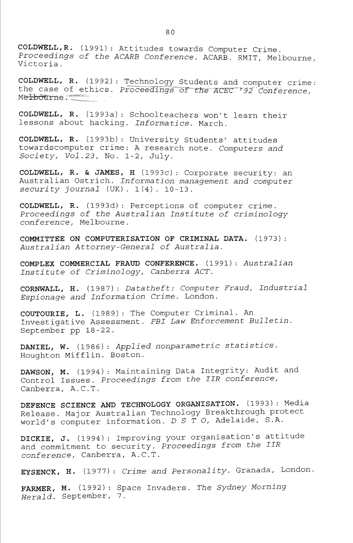**COLDWELL,R.** (1991): Attitudes towards Computer Crime. *Proceedings of the ACARB Conference.* ACARB. RMIT, Melbourne, Victoria.

**COLDWELL, R.** (1992) : T^echnolog^^\_Students and computer crime: the case of ethics. *Proceedings of the ACEC<sup>192</sup> Conference*, Metbourne :

**COLDWELL, R.** (1993a): Schoolteachers won't learn their lessons about hacking. *Informatics.* March.

**COLDWELL, R.** (1993b): University Students' attitudes towardscomputer crime: A research note. *Computers and Society, Vol.23,* No. 1-2, July.

**COLDWELL, R. & JAMES, H** (1993c) : Corporate security: an Australian Ostrich. *Information management and computer security journal* (UK). 1(4). 10-13.

**COLDWELL, R.** (1993d): Perceptions of computer crime. *Proceedings of the Australian Institute of criminology conference,* Melbourne.

**COMMITTEE ON COMPUTERISATION OF CRIMINAL DATA.** (1973): *Australian Attorney-General of Australia.* 

**COMPLEX COMMERCIAL FRAUD CONFERENCE.** (1991): *Australian Institute of Criminology, Canberra ACT.* 

**CORNWALL, H.** (1987) : *Datatheft: Computer Fraud, Industrial Espionage and Information Crime.* London.

**COUTOURIE, L.** (1989): The Computer Criminal. An Investigative Assessment. *FBI Law Enforcement Bulletin.*  September pp 18-22.

**DANIEL, W.** (1986): *Applied nonparametric statistics.*  Houghton Mifflin. Boston.

**DAWSON, M.** (1994) : Maintaining Data Integrity: Audit and Control Issues. *Proceedings from the IIR conference,*  Canberra, A.C.T.

**DEFENCE SCIENCE AND TECHNOLOGY ORGANISATION.** (1993): Media Release. Major Australian Technology Breakthrough protect world's computer information. *D S T O,* Adelaide, S.A.

**DICKIE, J.** (1994): Improving your organisation's attitude and commitment to security. *Proceedings from the IIR conference,* Canberra, A.C.T.

**EYSENCK, H.** (1977) : *Crime and Personality.* Granada, London,

**FARMER, M.** (1992) : Space Invaders. *The Sydney Morning Herald.* September, 7.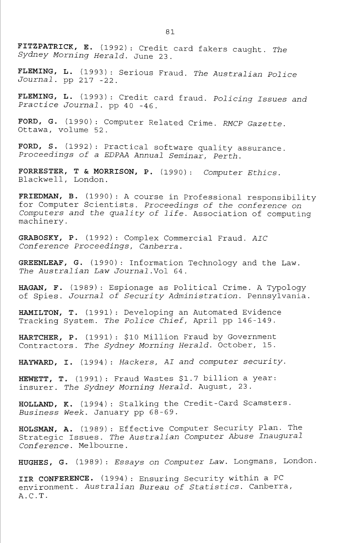**FITZPATRICK, E.** (1992): Credit card fakers caught. *The Sydney Morning Herald.* June 23.

**FLEMING, L.** (1993): Serious Fraud. *The Australian Police Journal,* pp 217 -22.

**FLEMING, L.** (1993) : Credit card fraud. *Policing Issues and Practice Journal,* pp 40 -46.

**FORD, G.** (1990) : Computer Related Crime. *RMCP Gazette.*  Ottawa, volume 52.

**FORD, S.** (1992): Practical software quality assurance. *Proceedings of a EDPAA Annual Seminar, Perth.* 

**FORRESTER, T & MORRISON, P.** (1990): *Computer Ethics.*  Blackwell, London.

**FRIEDMAN, B.** (1990): A course in Professional responsibility for Computer Scientists. *Proceedings of the conference on Computers and the quality of life.* Association of computing machinery.

**GRABOSKY, P.** (1992) : Complex Commercial Fraud. *AIC Conference Proceedings, Canberra.* 

**GREENLEAF, G.** (1990): Information Technology and the Law. *The Australian Law Journal.Vol* 64.

**HAGAN, F.** (1989): Espionage as Political Crime. A Typology of Spies. *Journal of Security Administration.* Pennsylvania.

**HAMILTON, T.** (1991): Developing an Automated Evidence Tracking System. *The Police Chief,* April pp 146-149.

**HARTCHER, P.** (1991): \$10 Million Fraud by Government Contractors. *The Sydney Morning Herald.* October, 15.

**HAYWARD, I.** (1994): *Hackers, AI and computer security.* 

**HEWETT, T.** (1991) : Fraud Wastes \$1.7 billion a year: insurer. *The Sydney Morning Herald.* August, 23.

**HOLLAND, K.** (1994) : Stalking the Credit-Card Scamsters. *Business Week.* January pp 68-69.

**HOLSMAN, A.** (1989) : Effective Computer Security Plan. The Strategic Issues. *The Australian Computer Abuse Inaugural Conference.* Melbourne.

**HUGHES, G.** (1989): *Essays on Computer Law.* Longmans, London.

IIR CONFERENCE. (1994): Ensuring Security within a PC environment. *Australian Bureau of Statistics.* Canberra, A.C.T.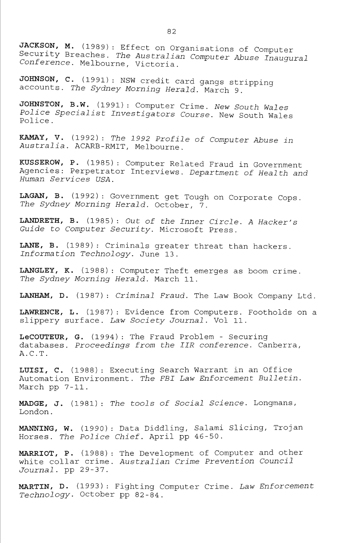**JACKSON, M.** (1989): Effect on Organisations of Computer Security Breaches. *The Australian Computer Abuse Inaugural Conference.* Melbourne, Victoria.

**JOHNSON, C.** (1991) : NSW credit card gangs stripping accounts. *The Sydney Morning Herald.* March 9.

**JOHNSTON, B.W.** (1991): Computer Crime. *New South Wales Police Specialist Investigators Course.* New South Wales Police.

**KAMAY, V.** (1992) : *The 1992 Profile of Computer Abuse in Australia.* ACARB-RMIT, Melbourne.

**KUSSEROW, P.** (1985) : Computer Related Fraud in Government Agencies: Perpetrator Interviews. *Department of Health and Human Services USA.* 

**LAGAN, B.** (1992) : Government get Tough on Corporate Cops. *The Sydney Morning Herald.* October, 7.

**LANDRETH, B.** (1985) : *Out of the Inner Circle. A Hacker's Guide to Computer Security.* Microsoft Press.

**LANE, B.** (1989): Criminals greater threat than hackers. *Information Technology.* June 13.

**LANGLEY, K.** (1988): Computer Theft emerges as boom crime. *The Sydney Morning Herald.* March 11.

**LANHAM, D.** (1987) : *Criminal Fraud.* The Law Book Company Ltd.

**LAWRENCE, L.** (1987): Evidence from Computers. Footholds on a slippery surface. *Law Society Journal.* Vol 11.

**LeCOUTEUR, G.** (1994): The Fraud Problem - Securing databases. *Proceedings from the IIR conference.* Canberra, A.C.T.

**LUISI, C.** (1988): Executing Search Warrant in an Office Automation Environment. *The FBI Law Enforcement Bulletin.*  March pp 7-11.

MADGE, J. (1981) : *The tools of Social Science.* Longmans, London.

**MANNING, W.** (1990) : Data Diddling, Salami Slicing, Trojan Horses. *The Police Chief.* April pp 46-50.

**MARRIOT, P.** (1988) : The Development of Computer and other white collar crime. *Australian Crime Prevention Council Journal,* pp 29-37.

**MARTIN, D.** (1993) : Fighting Computer Crime. *Law Enforcement Technology.* October pp 82-84.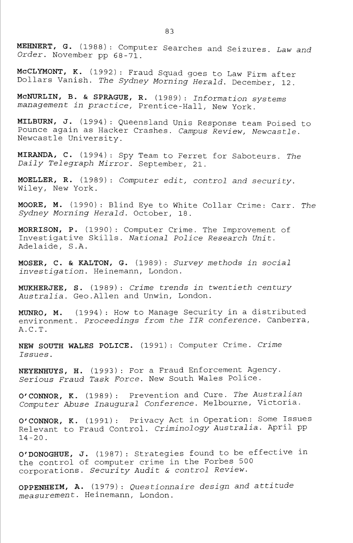**MEHNERT, G.** (1988): Computer Searches and Seizures. *Law and Order.* November pp 68-71.

**McCLYMONT, K.** (1992) : Fraud Squad goes to Law Firm after Dollars Vanish. *The Sydney Morning Herald.* December, 12.

**McNURLIN, B. & SPRAGUE, R.** (1989) : *Information systems management in practice,* Prentice-Hall, New York.

**MILBURN, J.** (1994) : Queensland Unis Response team Poised to Pounce again as Hacker Crashes. *Campus Review, Newcastle.*  Newcastle University.

**MIRANDA, C.** (1994): Spy Team to Ferret for Saboteurs. *The Daily Telegraph Mirror.* September, 21.

**MOELLER, R.** (1989): *Computer edit, control and security.*  Wiley, New York.

**MOORE, M.** (1990): Blind Eye to White Collar Crime: Carr. *The Sydney Morning Herald.* October, 18.

MORRISON, P. (1990): Computer Crime. The Improvement of Investigative Skills. *National Police Research Unit.*  Adelaide, S.A.

**MOSER, C. & KALTON, G.** (1989): *Survey methods in social investigation.* Heinemann, London.

**MUKHERJEE, S.** (1989): *Crime trends in twentieth century Australia.* Geo.Allen and Unwin, London.

**MUNRO, M.** (1994): How to Manage Security in a distributed environment. *Proceedings from the IIR conference.* Canberra, A.C.T.

**NEW SOUTH WALES POLICE.** (1991) : Computer Crime. *Crime Issues.* 

NEYENHUYS, H. (1993): For a Fraud Enforcement Agency. *Serious Fraud Task Force.* New South Wales Police.

**O'CONNOR, K.** (1989): Prevention and Cure. *The Australian Computer Abuse Inaugural Conference.* Melbourne, Victoria.

**O'CONNOR, K.** (1991) : Privacy Act in Operation: Some Issues Relevant to Fraud Control. *Criminology Australia.* April pp 14-20.

**O'DONOGHUE, J.** (1987) : Strategies found to be effective in the control of computer crime in the Forbes 500 corporations. *Security Audit & control Review.* 

**OPPENHEIM, A.** (1979) : *Questionnaire design and attitude measurement.* Heinemann, London.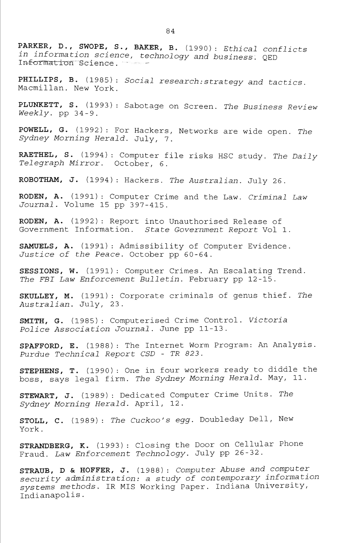**PARKER, D., SWOPE, S., BAKER, B.** (1990): *Ethical conflicts m information science, technology and business.* QED Information Science.

**PHILLIPS, B.** (1985) : *Social research:strategy and tactics.*  Macmillan. New York.

**PLUNKETT, S.** (1993): Sabotage on Screen. *The Business Review Weekly,* pp 34-9.

POWELL, G. (1992): For Hackers, Networks are wide open. The *Sydney Morning Herald.* July, 7.

**RAETHEL, S.** (1994) : Computer file risks HSC study. *The Daily Telegraph Mirror.* October, 6.

**ROBOTHAM, J.** (1994): Hackers. *The Australian.* July 26.

**RODEN, A.** (1991): Computer Crime and the Law. *Criminal Law Journal.* Volume 15 pp 397-415.

**RODEN, A.** (1992): Report into Unauthorised Release of Government Information. *State Government Report* Vol 1.

**SAMUELS, A.** (1991): Admissibility of Computer Evidence. *Justice of the Peace.* October pp 60-64.

**SESSIONS, W.** (1991) : Computer Crimes. An Escalating Trend. *The FBI Law Enforcement Bulletin.* February pp 12-15.

**SKULLEY, M.** (1991): Corporate criminals of genus thief. *The Australian.* July, 23.

**SMITH, G.** (1985): Computerised Crime Control. *Victoria Police Association Journal.* June pp 11-13.

**SPAFFORD, E.** (1988) : The Internet Worm Program: An Analysis. *Purdue Technical Report CSD - TR 823.* 

**STEPHENS, T.** (1990): One in four workers ready to diddle the boss, says legal firm. *The Sydney Morning Herald.* May, 11.

**STEWART, J.** (1989): Dedicated Computer Crime Units. *The Sydney Morning Herald.* April, 12.

**STOLL, C.** (1989) : *The Cuckoo's egg.* Doubleday Dell, New York.

**STRANDBERG, K.** (1993) : Closing the Door on Cellular Phone Fraud. *Law Enforcement Technology.* July pp 26-32.

**STRAUB, D & HOFFER, J.** (1988): *Computer Abuse and computer security administration: a study of contemporary information systems methods.* IR MIS Working Paper. Indiana University, Indianapolis.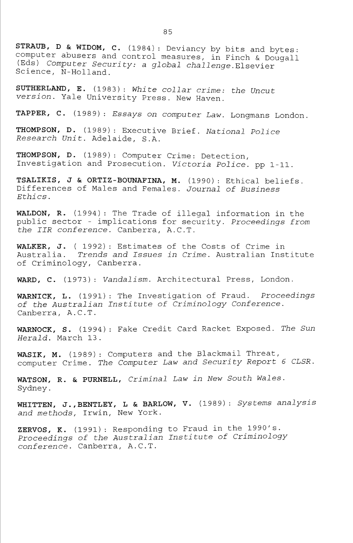**STRAUB, D & WIDOM, C.** (1984) : Deviancy by bits and bytes: computer abusers and control measures, in Finch & Dougall (Eds) *Computer Security: a global challenge.Elsevier*  Science, N-Holland.

**SUTHERLAND, E.** (19 83) : *White collar crime: the Uncut version.* Yale University Press. New Haven.

**TAPPER, C.** (1989) : *Essays on computer Law.* Longmans London.

THOMPSON, D. (1989): Executive Brief. National Police *Research Unit.* Adelaide, S.A.

**THOMPSON, D.** (1989) : Computer Crime: Detection, Investigation and Prosecution. *Victoria Police,* pp 1-11.

**TSALIKIS, J & ORTIZ-BOUNAFINA, M.** (1990): Ethical beliefs. Differences of Males and Females. *Journal of Business Ethics.* 

WALDON, R. (1994): The Trade of illegal information in the public sector - implications for security. *Proceedings from the IIR conference.* Canberra, A.C.T.

**WALKER, J.** ( 1992) : Estimates of the Costs of Crime in Australia. *Trends and Issues in Crime.* Australian Institute of Criminology, Canberra.

**WARD, C.** (1973): *Vandalism.* Architectural Press, London.

**WARNICK, L.** (1991) : The Investigation of Fraud. *Proceedings of the Australian Institute of Criminology Conference.*  Canberra, A.C.T.

**WARNOCK, S.** (1994) : Fake Credit Card Racket Exposed. *The Sun Herald.* March 13.

**WASIK, M.** (1989) : Computers and the Blackmail Threat, computer Crime. *The Computer Law and Security Report 6 CLSR.* 

**WATSON, R. & PURNELL,** *Criminal Law in New South Wales.*  Sydney.

**WHITTEN, J.,BENTLEY, L & BARLOW, V.** (1989): *Systems analysis and methods,* Irwin, New York.

**ZERVOS, K.** (1991): Responding to Fraud in the 1990's. *Proceedings of the Australian Institute of Criminology conference.* Canberra, A.C.T.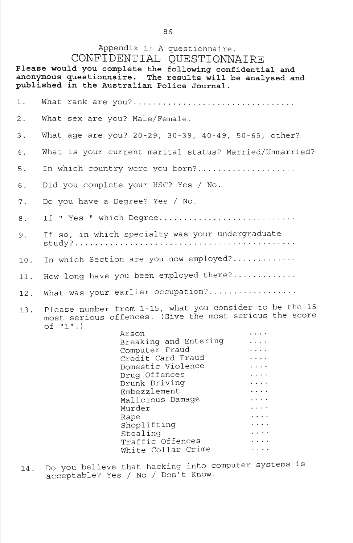# Appendix 1: A questionnaire.

CONFIDENTIAL QUESTIONNAIRE

**Please would you complete the following confidential and anonymous questionnaire. The results will be analysed and pxiblished in the Australian Police Journal.** 

1. What rank are you? 2. What sex are you? Male/Female. 3. What age are you? 20-29, 30-39, 40-49, 50-65, other? 4. What is your current marital status? Married/Unmarried? 5. In which country were you born? 6. Did you complete your HSC? Yes / No. 7. Do you have a Degree? Yes / No. 8. If " Yes " which Degree.............................. 9. If so, in which specialty was your undergraduate study? 10. In which Section are you now employed? 11. How long have you been employed there?............. 12. What was your earlier occupation? 13. Please number from 1-15, what you consider to be the 15 most serious offences. (Give the most serious the score of "1".) Arson Breaking and Entering  $\sim$   $\sim$   $\sim$   $\sim$ Computer Fraud<br>Credit Card Fraud  $\mathbf{1}$  and  $\mathbf{1}$  $\ddotsc$ Credit Card Fraud  $\mathbf{1}$  .  $\mathbf{1}$ Domestic violence<br>Domestic violence  $\ddotsc$  . Drug Offences<br>Drug Offences  $\mathbf{1}$   $\mathbf{2}$   $\mathbf{3}$   $\mathbf{4}$ 

Drunk Driving Embezzlement  $\mathbf{1}$   $\mathbf{1}$   $\mathbf{1}$   $\mathbf{1}$ Malicious Damage Murder  $\ldots$  .  $\ldots$  . Rape Shoplifting<br>Stealing  $\ldots$  .  $\cdots$ Stealing  $\ldots$ Traffic Offences White Collar Crime  $\frac{1}{2}$  ,  $\frac{1}{2}$  ,  $\frac{1}{2}$  ,  $\frac{1}{2}$ 

14. Do you believe that hacking into computer systems is acceptable? Yes / No / Don't Know.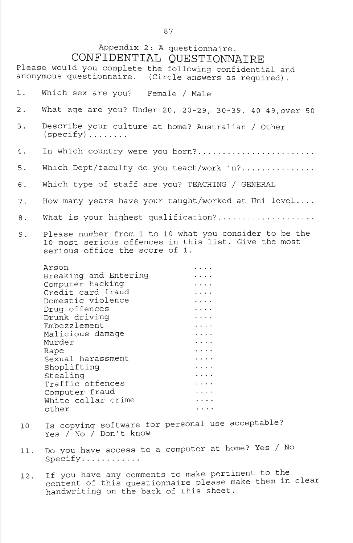# Appendix 2: A questionnaire. CONFIDENTIAL QUESTIONNAIRE

Please would you complete the following confidential and anonymous questionnaire. (Circle answers as required). 1. Which sex are you? Female / Male What age are you? Under 20, 20-29, 30-39, 40-49,over 50 2. 3. Describe your culture at home? Australian / Other  $(specify) \ldots \ldots$ In which country were you born?........................ 4, Which Dept/faculty do you teach/work in?............... 5, Which type of staff are you? TEACHING / GENERAL 6, How many years have your taught/worked at Uni level.... 7 What is your highest qualification?................... 8 Please number from 1 to 10 what you consider to be the 9. 10 most serious offences in this list. Give the most serious office the score of 1. Arson Breaking and Entering  $\mathbf{L}$  and  $\mathbf{L}$ Computer hacking  $\sim 100$  km s  $^{-1}$ Credit card fraud  $\overline{1}$   $\overline{1}$   $\overline{1}$   $\overline{1}$ Domestic violence Drug offences  $\sim$   $\sim$   $\sim$   $\sim$ Drunk driving  $\ldots$  . Embezzlement  $\ldots$  . Malicious damage  $\ldots$  . Murder  $\mathbf{1}$  . The set of  $\mathbf{1}$  $\mathbf{1}$  ,  $\mathbf{1}$  ,  $\mathbf{1}$ Rape Sexual harassment  $\mathbf{1}$   $\mathbf{1}$   $\mathbf{1}$   $\mathbf{1}$ Shoplifting  $\ldots$  . Stealing  $\sim 100$  km s  $^{-1}$ Traffic offences  $\cdot \cdot \cdot$ Computer fraud  $\ldots$  . White collar crime  $\sim$   $\sim$   $\sim$   $\sim$  $\cdots$ other Is copying software for personal use acceptable? 10 Yes / No / Don't know

- 11 Do you have access to a computer at home? Yes / No  $Specify...$ .........
- 12 If you have any comments to make pertinent to the content of this questionnaire please make them in clear handwriting on the back of this sheet.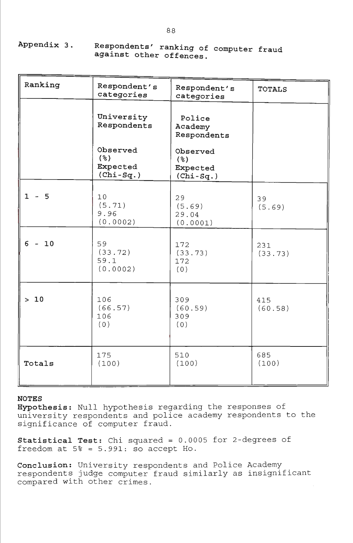**Appendix 3 Respondents' ranking of computer fraud against other offences.** 

| Ranking  | Respondent's<br>categories                                 | Respondent's<br>categories                 | <b>TOTALS</b>  |
|----------|------------------------------------------------------------|--------------------------------------------|----------------|
|          | University<br>Respondents                                  | Police<br>Academy<br>Respondents           |                |
|          | Observed<br>$($ $\frac{6}{6}$ )<br>Expected<br>$(Chi-Sq.)$ | Observed<br>(%)<br>Expected<br>$(Chi-Sq.)$ |                |
| $1 - 5$  | 10<br>(5.71)<br>9.96<br>(0.0002)                           | 29<br>(5.69)<br>29.04<br>(0.0001)          | 39<br>(5.69)   |
| $6 - 10$ | 59<br>(33.72)<br>59.1<br>(0.0002)                          | 172<br>(33.73)<br>172<br>(0)               | 231<br>(33.73) |
| $>10$    | 106<br>(66.57)<br>106<br>(0)                               | 309<br>(60.59)<br>309<br>(0)               | 415<br>(60.58) |
| Totals   | 175<br>(100)                                               | 510<br>(100)                               | 685<br>(100)   |

**Hypothesis:** Null hypothesis regarding the responses of university respondents and police academy respondents to the significance of computer fraud.

**Statistical Test:** Chi squared = 0.0005 for 2-degrees of freedom at  $5$ % =  $5.991:$  so accept Ho.

**Conclusion:** University respondents and Police Academy respondents judge computer fraud similarly as insignificant compared with other crimes.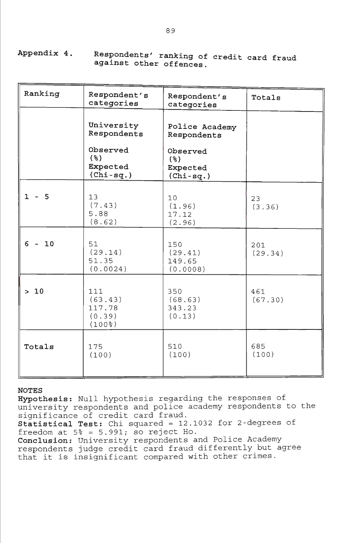| Ranking  | Respondent's<br>categories                       | Respondent's<br>categories                     | Totals         |
|----------|--------------------------------------------------|------------------------------------------------|----------------|
|          | University<br>Respondents                        | Police Academy<br>Respondents                  |                |
|          | Observed<br>$($ $\%)$<br>Expected<br>$(Chi-sq.)$ | Observed<br>$($ $)$<br>Expected<br>$(Chi-sq.)$ |                |
| $1 - 5$  | 13<br>(7.43)<br>5.88<br>(8.62)                   | 10<br>(1.96)<br>17.12<br>(2.96)                | 23<br>(3.36)   |
| $6 - 10$ | 51<br>(29.14)<br>51.35<br>(0.0024)               | 150<br>(29.41)<br>149.65<br>(0.0008)           | 201<br>(29.34) |
| $>10$    | 111<br>(63.43)<br>117.78<br>(0.39)<br>$(100$ %)  | 350<br>(68.63)<br>343.23<br>(0.13)             | 461<br>(67.30) |
| Totals   | 175<br>(100)                                     | 510<br>(100)                                   | 685<br>(100)   |

Appendix 4. Respondents' ranking of credit card fraud **against other offences.** 

## **NOTES**

**Hypothesis:** Null hypothesis regarding the responses of university respondents and police academy respondents to the significance of credit card fraud. **Statistical Test:** Chi squared = 12.1032 for 2-degrees of freedom at  $5$ % =  $5.991$ ; so reject Ho. **Conclusion:** University respondents and Police Academy

respondents judge credit card fraud differently but agree that it is insignificant compared with other crimes.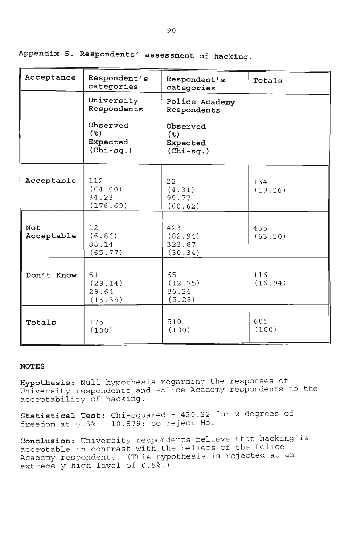| Acceptance        | Respondent's<br>categories                     | Respondent's<br>categories                 | Totals         |
|-------------------|------------------------------------------------|--------------------------------------------|----------------|
|                   | University<br>Respondents                      | Police Academy<br>Respondents              |                |
|                   | Observed<br>$($ $)$<br>Expected<br>$(Chi-sq.)$ | Observed<br>(%)<br>Expected<br>$(Chi-sq.)$ |                |
| Acceptable        | 112<br>(64.00)<br>34.23<br>(176.69)            | 22<br>(4.31)<br>99.77<br>(60.62)           | 134<br>(19.56) |
| Not<br>Acceptable | 12<br>(6.86)<br>88.14<br>(65.77)               | 423<br>(82.94)<br>323.87<br>(30.34)        | 435<br>(63.50) |
| Don't Know        | 51<br>(29.14)<br>29.64<br>(15.39)              | 65<br>(12.75)<br>86.36<br>(5.28)           | 116<br>(16.94) |
| Totals            | 175<br>(100)                                   | 510<br>(100)                               | 685<br>(100)   |

Appendix 5. Respondents' assessment of hacking,

**Hypothesis:** Null hypothesis regarding the responses of University respondents and Police Academy respondents to the acceptability of hacking.

**Statistical Test:** Chi-squared = 430.32 for 2-degrees of  $r = 10.579$ ; so reject Ho.

**Conclusion:** University respondents believe that hacking is acceptable in contrast with the beliefs of the Police Academy respondents. (This hypothesis is rejected at an extremely high level of 0.5%.)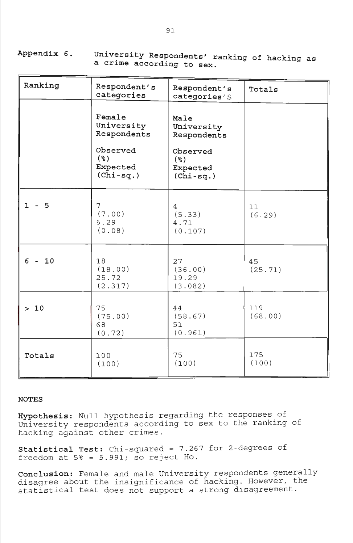**Appendix 6 University Respondents' ranking of hacking**  a crime according to sex. *anking of nacking as* 

| Ranking  | Respondent's<br>categories                                                        | Respondent's<br>categories'S                                                        | Totals         |
|----------|-----------------------------------------------------------------------------------|-------------------------------------------------------------------------------------|----------------|
|          | Female<br>University<br>Respondents<br>Observed<br>(%)<br>Expected<br>$(Chi-sq.)$ | Male<br>University<br>Respondents<br>Observed<br>$($ $)$<br>Expected<br>$(Chi-sq.)$ |                |
| $1 - 5$  | 7<br>(7.00)<br>6.29<br>(0.08)                                                     | $\overline{4}$<br>(5.33)<br>4.71<br>(0.107)                                         | 11<br>(6.29)   |
| $6 - 10$ | 18<br>(18.00)<br>25.72<br>(2.317)                                                 | 27<br>(36.00)<br>19.29<br>(3.082)                                                   | 45<br>(25.71)  |
| $>10$    | 75<br>(75.00)<br>68<br>(0.72)                                                     | 44<br>(58.67)<br>51<br>(0.961)                                                      | 119<br>(68.00) |
| Totals   | 100<br>(100)                                                                      | 75<br>(100)                                                                         | 175<br>(100)   |

**Hypothesis:** Null hypothesis regarding the responses of University respondents according to sex to the ranking of hacking against other crimes.

**Statistical** Test: Chi-squared = 7.267 for 2-degrees of freedom at  $5$ % =  $5.991$ ; so reject Ho.

**Conclusion:** Female and male University respondents generally disagree about the insignificance of hacking. However, the statistical test does not support a strong disagreement.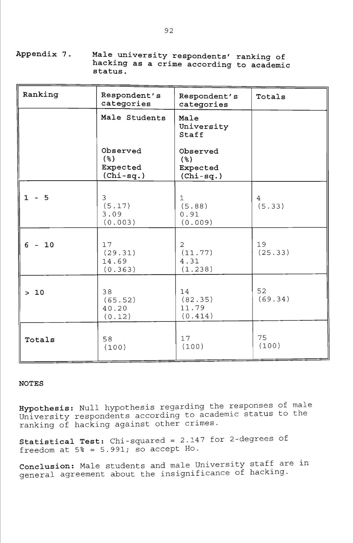**Appendix 7. Male university respondents' ranking of hacking as a crime according to academic status.** 

| Ranking  | Respondent's<br>categories                 | Respondent's<br>categories                   | Totals        |
|----------|--------------------------------------------|----------------------------------------------|---------------|
|          | Male Students                              | Male<br>University<br>Staff                  |               |
|          | Observed<br>(%)<br>Expected<br>$(Chi-sq.)$ | Observed<br>(%)<br>Expected<br>$(Chi-sq.)$   |               |
| $1 - 5$  | 3<br>(5.17)<br>3.09<br>(0.003)             | $\mathbf{1}$<br>(5.88)<br>0.91<br>(0.009)    | 4<br>(5.33)   |
| $6 - 10$ | 17<br>(29.31)<br>14.69<br>(0.363)          | $\overline{2}$<br>(11.77)<br>4.31<br>(1.238) | 19<br>(25.33) |
| $>10$    | 38<br>(65.52)<br>40.20<br>(0.12)           | 14<br>(82.35)<br>11.79<br>(0.414)            | 52<br>(69.34) |
| Totals   | 58<br>(100)                                | 17<br>(100)                                  | 75<br>(100)   |

**Hypothesis:** Null hypothesis regarding the responses of male University respondents according to academic status to the ranking of hacking against other crimes.

**Statistical Test:** Chi-squared = 2.14 7 for 2-degrees of freedom at 5% = 5.991; so accept Ho.

**Conclusion:** Male students and male University staff are in general agreement about the insignificance of hacking.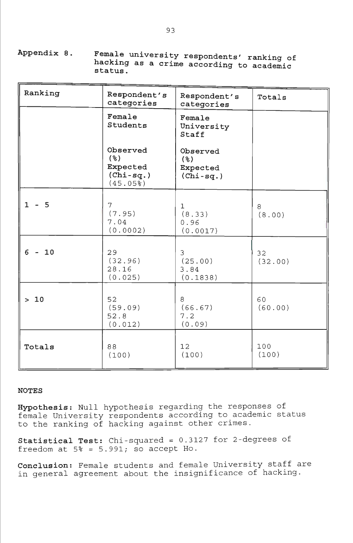**Appendix 8. Female university respondents' ranking of hacking as a crime according to academic status.** 

| Ranking                        | Respondent's<br>categories                                | Respondent's<br>categories                     | Totals        |
|--------------------------------|-----------------------------------------------------------|------------------------------------------------|---------------|
|                                | Female<br>Students                                        | Female<br>University<br>Staff                  |               |
|                                | Observed<br>$($ $)$<br>Expected<br>$(Chi-sq.)$<br>(45.05) | Observed<br>$($ $)$<br>Expected<br>$(Chi-sq.)$ |               |
| $1 - 5$                        | $\overline{7}$<br>(7.95)<br>7.04<br>(0.0002)              | $\mathbf 1$<br>(8.33)<br>0.96<br>(0.0017)      | 8<br>(8.00)   |
| 6 <sup>1</sup><br>10<br>$\sim$ | 29<br>(32.96)<br>28.16<br>(0.025)                         | 3<br>(25.00)<br>3.84<br>(0.1838)               | 32<br>(32.00) |
| > 10                           | 52<br>(59.09)<br>52.8<br>(0.012)                          | 8<br>(66.67)<br>7.2<br>(0.09)                  | 60<br>(60.00) |
| Totals                         | 88<br>(100)                                               | 12<br>(100)                                    | 100<br>(100)  |

**Hypothesis:** Null hypothesis regarding the responses of female University respondents according to academic status to the ranking of hacking against other crimes.

**Statistical Test:** Chi-squared *=* 0.3127 for 2-degrees of freedom at  $5\% = 5.991$ ; so accept Ho.

**Conclusion:** Female students and female University staff are in general agreement about the insignificance of hacking.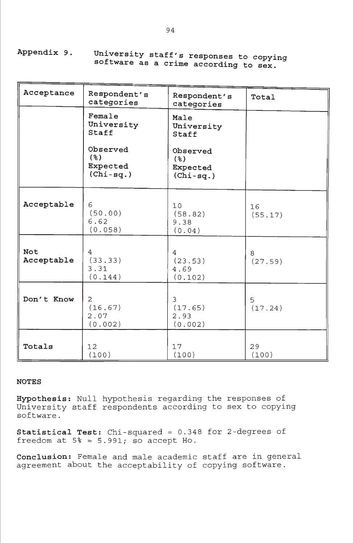**Appendix 9. University staff's responses to copying software as a crime according to sex.** 

| Acceptance        | Respondent's<br>categories                     | Respondent's<br>categories                 | Total         |
|-------------------|------------------------------------------------|--------------------------------------------|---------------|
|                   | Female<br>University<br>Staff                  | Male<br>University<br>Staff                |               |
|                   | Observed<br>$($ $)$<br>Expected<br>$(Chi-sq.)$ | Observed<br>(%)<br>Expected<br>$(Chi-sq.)$ |               |
| Acceptable        | 6<br>(50.00)<br>6.62<br>(0.058)                | 10<br>(58.82)<br>9.38<br>(0.04)            | 16<br>(55.17) |
| Not<br>Acceptable | 4<br>(33.33)<br>3.31<br>(0.144)                | 4<br>(23.53)<br>4.69<br>(0.102)            | 8<br>(27.59)  |
| Don't Know        | 2<br>(16.67)<br>2.07<br>(0.002)                | 3<br>(17.65)<br>2.93<br>(0.002)            | 5<br>(17.24)  |
| Totals            | 12 <sup>2</sup><br>(100)                       | 17<br>(100)                                | 29<br>(100)   |

**Hypothesis:** Null hypothesis regarding the responses of University staff respondents according to sex to copying software.

**Statistical Test:** Chi-squared = 0.348 for 2-degrees of freedom at  $5* = 5.991$ ; so accept Ho.

**Conclusion:** Female and male academic staff are in general agreement about the acceptability of copying software.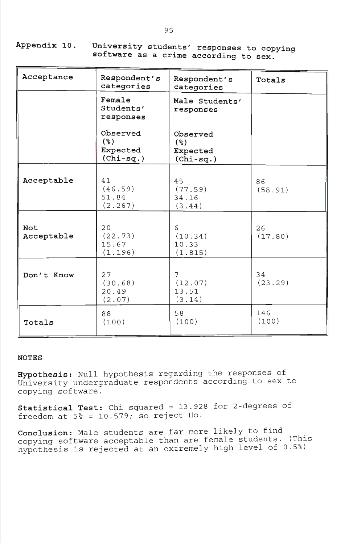| Appendix 10. | . University students' responses to copying |
|--------------|---------------------------------------------|
|              | software as a crime according to sex.       |

| Acceptance        | Respondent's<br>categories                 | Respondent's<br>categories                                | Totals        |
|-------------------|--------------------------------------------|-----------------------------------------------------------|---------------|
|                   | Female<br>Students'<br>responses           | Male Students'<br>responses                               |               |
|                   | Observed<br>(%)<br>Expected<br>$(Chi-sq.)$ | Observed<br>$($ $\mathcal{E})$<br>Expected<br>$(Chi-sq.)$ |               |
| Acceptable        | 41<br>(46.59)<br>51.84<br>(2.267)          | 45<br>(77.59)<br>34.16<br>(3.44)                          | 86<br>(58.91) |
| Not<br>Acceptable | 20<br>(22.73)<br>15.67<br>(1.196)          | 6<br>(10.34)<br>10.33<br>(1.815)                          | 26<br>(17.80) |
| Don't Know        | 27<br>(30.68)<br>20.49<br>(2.07)           | 7<br>(12.07)<br>13.51<br>(3.14)                           | 34<br>(23.29) |
| Totals            | 88<br>(100)                                | 58<br>(100)                                               | 146<br>(100)  |

**Hypothesis:** Null hypothesis regarding the responses of University undergraduate respondents according to sex to copying software.

**Statistical Test:** Chi squared = 13.928 for 2-degrees of freedom at  $5\% = 10.579$ ; so reject Ho.

**Conclusion:** Male students are far more likely to find copying software acceptable than are female students. (This hypothesis is rejected at an extremely high level of 0.5%)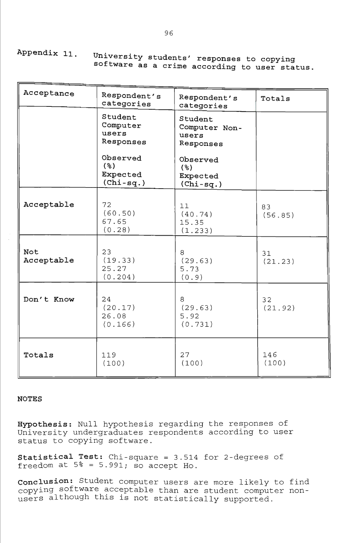**Appendix 11 University students' responses to copying software as a crime according to user status** 

| Acceptance        | Respondent's<br>categories                    | Respondent's<br>categories                     | Totals                     |
|-------------------|-----------------------------------------------|------------------------------------------------|----------------------------|
|                   | Student<br>Computer<br>users<br>Responses     | Student<br>Computer Non-<br>users<br>Responses |                            |
|                   | Observed<br>$($ %)<br>Expected<br>$(Chi-sq.)$ | Observed<br>(%)<br>Expected<br>$(Chi-sq.)$     |                            |
| Acceptable        | 72<br>(60.50)<br>67.65<br>(0.28)              | 11<br>(40.74)<br>15.35<br>(1.233)              | 83<br>(56.85)              |
| Not<br>Acceptable | 23<br>(19.33)<br>25.27<br>(0.204)             | 8<br>(29.63)<br>5.73<br>(0.9)                  | 31<br>(21.23)              |
| Don't Know        | 24<br>(20.17)<br>26.08<br>(0.166)             | 8<br>(29.63)<br>5.92<br>(0.731)                | 32 <sup>2</sup><br>(21.92) |
| Totals            | 119<br>(100)                                  | 27<br>(100)                                    | 146<br>(100)               |

## **NOTES**

**Hypothesis:** Null hypothesis regarding the responses of University undergraduates respondents according to user status to copying software.

**Statistical Test:** Chi-square = 3.514 for 2-degrees of freedom at  $5* = 5.991$ ; so accept Ho.

**Conclusion:** Student computer users are more likely to find copying software acceptable than are student computer non users although this is not statistically supported.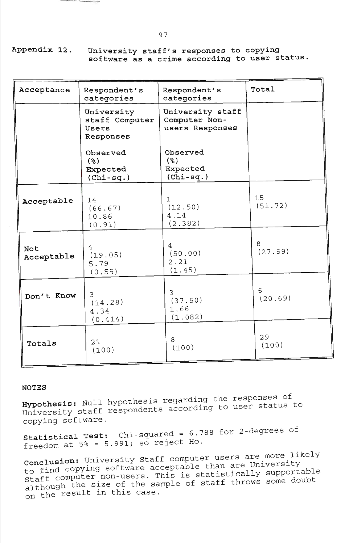**Appendix 12 University staff's responses to copying software as a crime according to user status** 

| Acceptance        | Respondent's<br>categories                         | Respondent's<br>categories                           | Total         |
|-------------------|----------------------------------------------------|------------------------------------------------------|---------------|
|                   | University<br>staff Computer<br>Users<br>Responses | University staff<br>Computer Non-<br>users Responses |               |
|                   | Observed<br>$($ % $)$<br>Expected<br>$(Chi-sq.)$   | Observed<br>$($ % $)$<br>Expected<br>$(Chi-sq.)$     |               |
| Acceptable        | 14<br>(66.67)<br>10.86<br>(0.91)                   | $\mathbf{1}$<br>(12.50)<br>4.14<br>(2.382)           | 15<br>(51.72) |
| Not<br>Acceptable | 4<br>(19.05)<br>5.79<br>(0.55)                     | 4<br>(50.00)<br>2.21<br>(1.45)                       | 8<br>(27.59)  |
| Don't Know        | 3<br>(14.28)<br>4.34<br>(0.414)                    | 3<br>(37.50)<br>1.66<br>(1.082)                      | 6<br>(20.69)  |
| Totals            | 21<br>(100)                                        | 8<br>(100)                                           | 29<br>(100)   |

## **NOTES**

Hypothesis: Null hypothesis regarding the responses of University staff respondents according to user status to copying software.

**Statistical Test:** Chi-squared = 6.788 for 2-degrees of freedom at  $5$ % =  $5.991$ ; so reject Ho.

Conclusion: University Staff computer users are more likely to find copying software acceptable than are University Staff computer non-users. This is statistically supportable although the size of the sample of staff throws some doubt on the result in this case.

**97**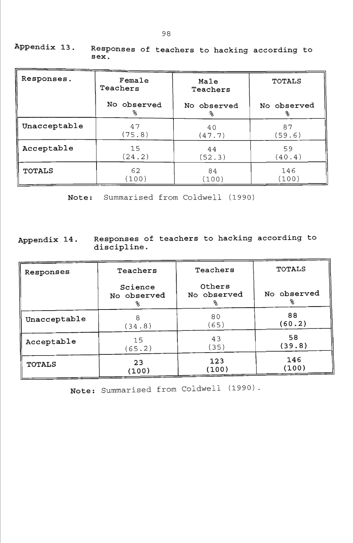| Responses.    | Female<br>Teachers | Male<br>Teachers | <b>TOTALS</b> |  |
|---------------|--------------------|------------------|---------------|--|
|               | No observed        | No observed      | No observed   |  |
|               | ℁                  | ℁                | ℁             |  |
| Unacceptable  | 47                 | 40               | 87            |  |
|               | (75.8)             | (47.7)           | (59.6)        |  |
| Acceptable    | 15                 | 44               | 59            |  |
|               | (24.2)             | (52.3)           | (40.4)        |  |
| <b>TOTALS</b> | 62                 | 84               | 146           |  |
|               | (100)              | (100)            | (100)         |  |

**Appendix 13. Responses of teachers to hacking according to sex.** 

**Note:** Summarised from Coldwell (1990)

## **Appendix 14. Responses of teachers to hacking according to discipline.**

| Responses     | Teachers                    | Teachers                   | <b>TOTALS</b> |
|---------------|-----------------------------|----------------------------|---------------|
|               | Science<br>No observed<br>℁ | Others<br>No observed<br>℁ | No observed   |
| Unacceptable  | 8                           | 80                         | 88            |
|               | (34.8)                      | (65)                       | (60.2)        |
| Acceptable    | 15                          | 43                         | 58            |
|               | (65.2)                      | (35)                       | (39.8)        |
| <b>TOTALS</b> | 23                          | 123                        | 146           |
|               | (100)                       | (100)                      | (100)         |

**Note:** Summarised from Coldwell (1990) .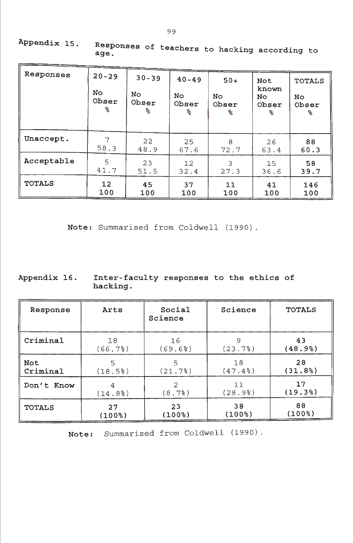| Responses     | $20 - 29$<br>No.<br>Obser<br>℅ | $30 - 39$<br>No<br>Obser<br>℅ | $40 - 49$<br><b>No</b><br>Obser<br>ిక | $50+$<br>No<br>Obser<br>ୡ | Not<br>known<br>No<br>Obser<br>℅ | <b>TOTALS</b><br>No.<br>Obser<br>℁ |
|---------------|--------------------------------|-------------------------------|---------------------------------------|---------------------------|----------------------------------|------------------------------------|
| Unaccept.     | 7                              | 22                            | 25                                    | 8                         | 26                               | 88                                 |
|               | 58.3                           | 48.9                          | 67.6                                  | 72.7                      | 63.4                             | 60.3                               |
| Acceptable    | 5                              | 23                            | 12                                    | 3                         | 15                               | 58                                 |
|               | 41.7                           | 51.5                          | 32.4                                  | 27.3                      | 36.6                             | 39.7                               |
| <b>TOTALS</b> | 12                             | 45                            | 37                                    | 11                        | 41                               | 146                                |
|               | 100                            | 100                           | 100                                   | 100                       | 100                              | 100                                |

**Appendix 15 Responses of teachers to hacking according to** 

**Note:** Summarised from Coldwell (1990)

Appendix 16. Inter-faculty responses to the ethics of **hacking.** 

| Response      | Arts      | Social<br>Science | Science | <b>TOTALS</b> |
|---------------|-----------|-------------------|---------|---------------|
| Criminal      | 18        | 16                | 9       | 43            |
|               | (66.7)    | (69.6)            | (23.7)  | (48.9%        |
| Not           | 5         | 5                 | 18      | 28            |
| Criminal      | (18.5)    | (21.7)            | (47.4)  | (31.8%)       |
| Don't Know    | 4         | 2                 | 11      | 17            |
|               | (14.8)    | (8.7)             | (28.9)  | (19.3%)       |
| <b>TOTALS</b> | 27        | 23                | 38      | 88            |
|               | $(100$ %) | (100%)            | (100%)  | $(100$ %)     |

**Note:** Summarised from Coldwell (1990)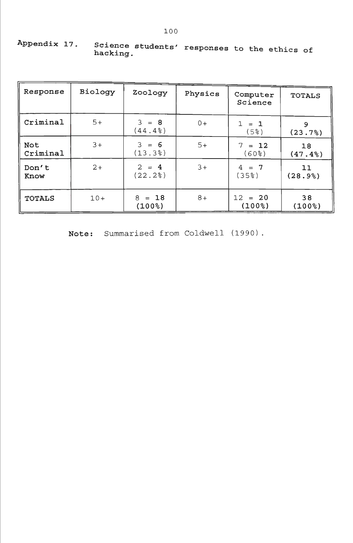| Appendix 17.<br>Science students' responses to the ethics of<br>hacking. |  |  |  |  |  |  |  |
|--------------------------------------------------------------------------|--|--|--|--|--|--|--|
|--------------------------------------------------------------------------|--|--|--|--|--|--|--|

| Response        | Biology | Zoology                  | Physics | Computer<br>Science          | <b>TOTALS</b> |
|-----------------|---------|--------------------------|---------|------------------------------|---------------|
| Criminal        | $5+$    | $3 = 8$<br>(44.4)        | $0+$    | $1 = 1$<br>(5 <sup>8</sup> ) | 9<br>(23.7)   |
| Not<br>Criminal | $3+$    | $3 = 6$<br>(13.3)        | $5+$    | $7 = 12$<br>$(60$ $)$        | 18<br>(47.4%  |
| Don't<br>Know   | $2+$    | $2 = 4$<br>(22.2)        | $3+$    | $4 = 7$<br>$(35$ $)$         | 11<br>(28.9%) |
| <b>TOTALS</b>   | $10+$   | $= 18$<br>8<br>$(100$ %) | $8+$    | $12 = 20$<br>$(100$ % $)$    | 38<br>(100%)  |

**Note:** Summarised from Coldwell (1990).